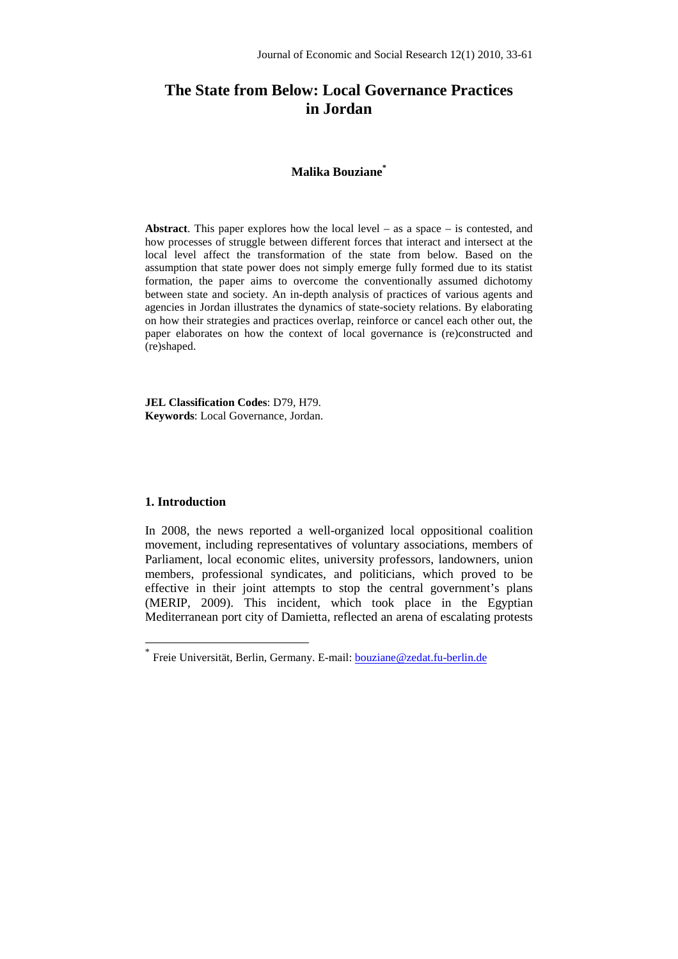# **The State from Below: Local Governance Practices in Jordan**

# **Malika Bouziane\***

**Abstract**. This paper explores how the local level – as a space – is contested, and how processes of struggle between different forces that interact and intersect at the local level affect the transformation of the state from below. Based on the assumption that state power does not simply emerge fully formed due to its statist formation, the paper aims to overcome the conventionally assumed dichotomy between state and society. An in-depth analysis of practices of various agents and agencies in Jordan illustrates the dynamics of state-society relations. By elaborating on how their strategies and practices overlap, reinforce or cancel each other out, the paper elaborates on how the context of local governance is (re)constructed and (re)shaped.

**JEL Classification Codes**: D79, H79. **Keywords**: Local Governance, Jordan.

## **1. Introduction**

 $\overline{a}$ 

In 2008, the news reported a well-organized local oppositional coalition movement, including representatives of voluntary associations, members of Parliament, local economic elites, university professors, landowners, union members, professional syndicates, and politicians, which proved to be effective in their joint attempts to stop the central government's plans (MERIP, 2009). This incident, which took place in the Egyptian Mediterranean port city of Damietta, reflected an arena of escalating protests

<sup>\*</sup> Freie Universität, Berlin, Germany. E-mail: bouziane@zedat.fu-berlin.de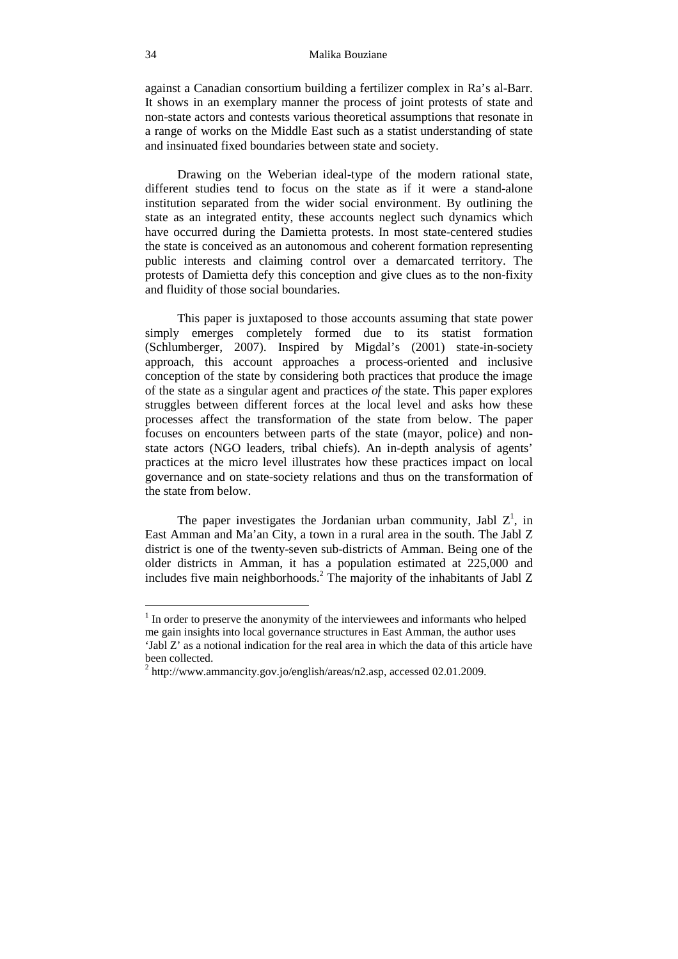against a Canadian consortium building a fertilizer complex in Ra's al-Barr. It shows in an exemplary manner the process of joint protests of state and non-state actors and contests various theoretical assumptions that resonate in a range of works on the Middle East such as a statist understanding of state and insinuated fixed boundaries between state and society.

Drawing on the Weberian ideal-type of the modern rational state, different studies tend to focus on the state as if it were a stand-alone institution separated from the wider social environment. By outlining the state as an integrated entity, these accounts neglect such dynamics which have occurred during the Damietta protests. In most state-centered studies the state is conceived as an autonomous and coherent formation representing public interests and claiming control over a demarcated territory. The protests of Damietta defy this conception and give clues as to the non-fixity and fluidity of those social boundaries.

This paper is juxtaposed to those accounts assuming that state power simply emerges completely formed due to its statist formation (Schlumberger, 2007). Inspired by Migdal's (2001) state-in-society approach, this account approaches a process-oriented and inclusive conception of the state by considering both practices that produce the image of the state as a singular agent and practices *of* the state. This paper explores struggles between different forces at the local level and asks how these processes affect the transformation of the state from below. The paper focuses on encounters between parts of the state (mayor, police) and nonstate actors (NGO leaders, tribal chiefs). An in-depth analysis of agents' practices at the micro level illustrates how these practices impact on local governance and on state-society relations and thus on the transformation of the state from below.

The paper investigates the Jordanian urban community, Jabl  $Z^1$ , in East Amman and Ma'an City, a town in a rural area in the south. The Jabl Z district is one of the twenty-seven sub-districts of Amman. Being one of the older districts in Amman, it has a population estimated at 225,000 and includes five main neighborhoods.<sup>2</sup> The majority of the inhabitants of Jabl Z

<sup>&</sup>lt;sup>1</sup> In order to preserve the anonymity of the interviewees and informants who helped me gain insights into local governance structures in East Amman, the author uses 'Jabl Z' as a notional indication for the real area in which the data of this article have been collected.

 $2 \text{ http://www.ammancity.gov.jo/english/areas/n2.asp, accessed 02.01.2009.}$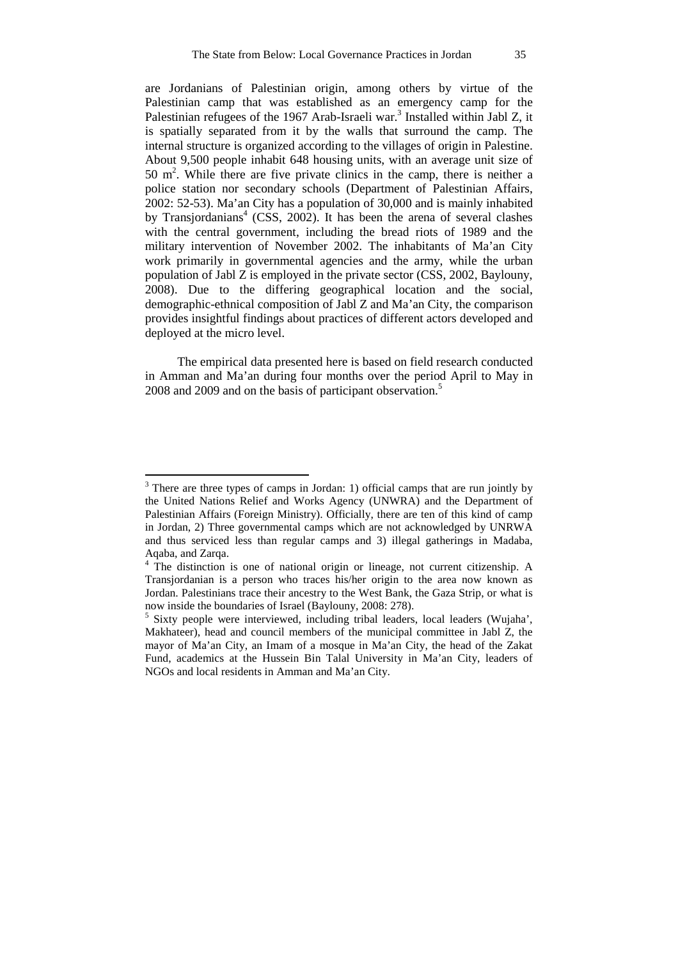are Jordanians of Palestinian origin, among others by virtue of the Palestinian camp that was established as an emergency camp for the Palestinian refugees of the 1967 Arab-Israeli war.<sup>3</sup> Installed within Jabl Z, it is spatially separated from it by the walls that surround the camp. The internal structure is organized according to the villages of origin in Palestine. About 9,500 people inhabit 648 housing units, with an average unit size of 50 m<sup>2</sup>. While there are five private clinics in the camp, there is neither a police station nor secondary schools (Department of Palestinian Affairs, 2002: 52-53). Ma'an City has a population of 30,000 and is mainly inhabited by Transjordanians<sup>4</sup> (CSS, 2002). It has been the arena of several clashes with the central government, including the bread riots of 1989 and the military intervention of November 2002. The inhabitants of Ma'an City work primarily in governmental agencies and the army, while the urban population of Jabl Z is employed in the private sector (CSS, 2002, Baylouny, 2008). Due to the differing geographical location and the social, demographic-ethnical composition of Jabl Z and Ma'an City, the comparison provides insightful findings about practices of different actors developed and deployed at the micro level.

The empirical data presented here is based on field research conducted in Amman and Ma'an during four months over the period April to May in 2008 and 2009 and on the basis of participant observation.<sup>5</sup>

 $3$  There are three types of camps in Jordan: 1) official camps that are run jointly by the United Nations Relief and Works Agency (UNWRA) and the Department of Palestinian Affairs (Foreign Ministry). Officially, there are ten of this kind of camp in Jordan, 2) Three governmental camps which are not acknowledged by UNRWA and thus serviced less than regular camps and 3) illegal gatherings in Madaba, Aqaba, and Zarqa.

<sup>&</sup>lt;sup>4</sup> The distinction is one of national origin or lineage, not current citizenship. A Transjordanian is a person who traces his/her origin to the area now known as Jordan. Palestinians trace their ancestry to the West Bank, the Gaza Strip, or what is now inside the boundaries of Israel (Baylouny, 2008: 278).

<sup>&</sup>lt;sup>5</sup> Sixty people were interviewed, including tribal leaders, local leaders (Wujaha', Makhateer), head and council members of the municipal committee in Jabl Z, the mayor of Ma'an City, an Imam of a mosque in Ma'an City, the head of the Zakat Fund, academics at the Hussein Bin Talal University in Ma'an City, leaders of NGOs and local residents in Amman and Ma'an City.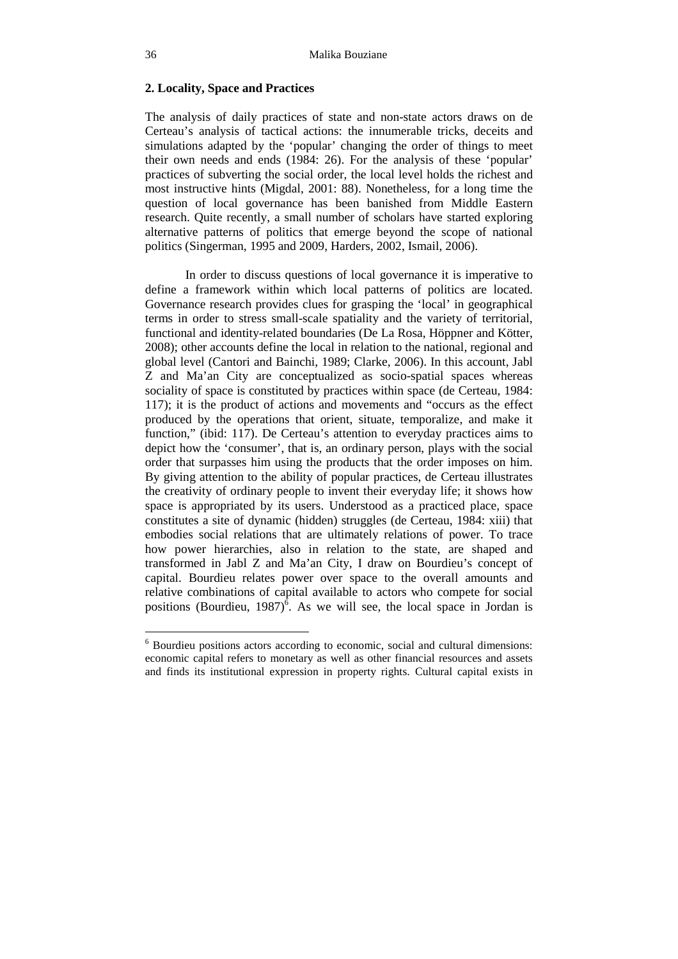## **2. Locality, Space and Practices**

The analysis of daily practices of state and non-state actors draws on de Certeau's analysis of tactical actions: the innumerable tricks, deceits and simulations adapted by the 'popular' changing the order of things to meet their own needs and ends (1984: 26). For the analysis of these 'popular' practices of subverting the social order, the local level holds the richest and most instructive hints (Migdal, 2001: 88). Nonetheless, for a long time the question of local governance has been banished from Middle Eastern research. Quite recently, a small number of scholars have started exploring alternative patterns of politics that emerge beyond the scope of national politics (Singerman, 1995 and 2009, Harders, 2002, Ismail, 2006).

In order to discuss questions of local governance it is imperative to define a framework within which local patterns of politics are located. Governance research provides clues for grasping the 'local' in geographical terms in order to stress small-scale spatiality and the variety of territorial, functional and identity-related boundaries (De La Rosa, Höppner and Kötter, 2008); other accounts define the local in relation to the national, regional and global level (Cantori and Bainchi, 1989; Clarke, 2006). In this account, Jabl Z and Ma'an City are conceptualized as socio-spatial spaces whereas sociality of space is constituted by practices within space (de Certeau, 1984: 117); it is the product of actions and movements and "occurs as the effect produced by the operations that orient, situate, temporalize, and make it function," (ibid: 117). De Certeau's attention to everyday practices aims to depict how the 'consumer', that is, an ordinary person, plays with the social order that surpasses him using the products that the order imposes on him. By giving attention to the ability of popular practices, de Certeau illustrates the creativity of ordinary people to invent their everyday life; it shows how space is appropriated by its users. Understood as a practiced place, space constitutes a site of dynamic (hidden) struggles (de Certeau, 1984: xiii) that embodies social relations that are ultimately relations of power. To trace how power hierarchies, also in relation to the state, are shaped and transformed in Jabl Z and Ma'an City, I draw on Bourdieu's concept of capital. Bourdieu relates power over space to the overall amounts and relative combinations of capital available to actors who compete for social positions (Bourdieu, 1987)<sup> $\delta$ </sup>. As we will see, the local space in Jordan is

<sup>&</sup>lt;sup>6</sup> Bourdieu positions actors according to economic, social and cultural dimensions: economic capital refers to monetary as well as other financial resources and assets and finds its institutional expression in property rights. Cultural capital exists in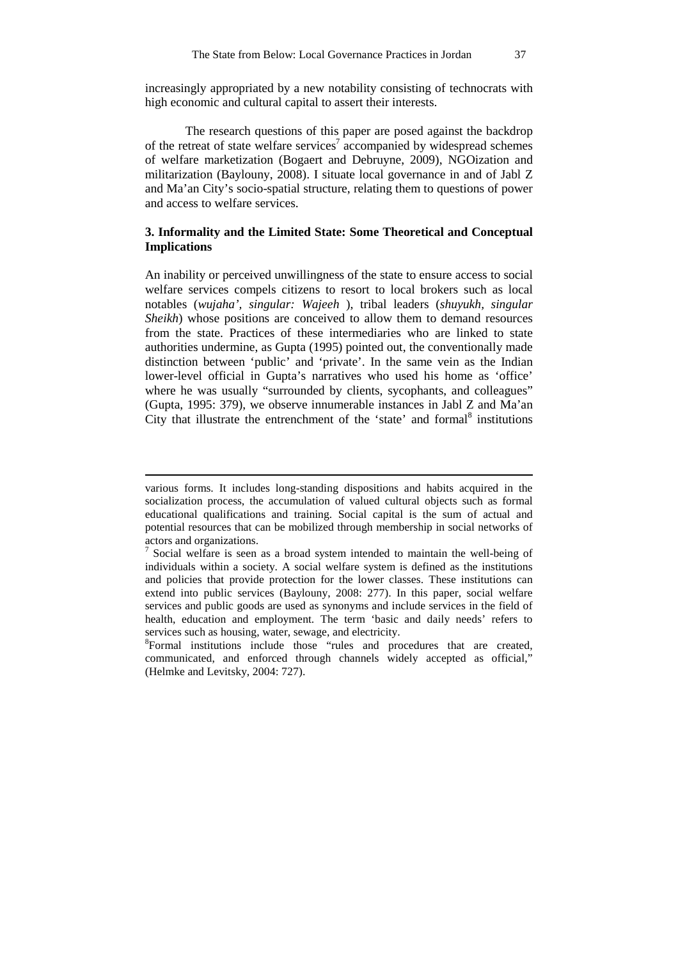increasingly appropriated by a new notability consisting of technocrats with high economic and cultural capital to assert their interests.

The research questions of this paper are posed against the backdrop of the retreat of state welfare services<sup>7</sup> accompanied by widespread schemes of welfare marketization (Bogaert and Debruyne, 2009), NGOization and militarization (Baylouny, 2008). I situate local governance in and of Jabl Z and Ma'an City's socio-spatial structure, relating them to questions of power and access to welfare services.

## **3. Informality and the Limited State: Some Theoretical and Conceptual Implications**

An inability or perceived unwillingness of the state to ensure access to social welfare services compels citizens to resort to local brokers such as local notables (*wujaha', singular: Wajeeh* ), tribal leaders (*shuyukh, singular Sheikh*) whose positions are conceived to allow them to demand resources from the state. Practices of these intermediaries who are linked to state authorities undermine, as Gupta (1995) pointed out, the conventionally made distinction between 'public' and 'private'. In the same vein as the Indian lower-level official in Gupta's narratives who used his home as 'office' where he was usually "surrounded by clients, sycophants, and colleagues" (Gupta, 1995: 379), we observe innumerable instances in Jabl Z and Ma'an City that illustrate the entrenchment of the 'state' and formal $^8$  institutions

various forms. It includes long-standing dispositions and habits acquired in the socialization process, the accumulation of valued cultural objects such as formal educational qualifications and training. Social capital is the sum of actual and potential resources that can be mobilized through membership in social networks of actors and organizations.

<sup>&</sup>lt;sup>7</sup> Social welfare is seen as a broad system intended to maintain the well-being of individuals within a society. A social welfare system is defined as the institutions and policies that provide protection for the lower classes. These institutions can extend into public services (Baylouny, 2008: 277). In this paper, social welfare services and public goods are used as synonyms and include services in the field of health, education and employment. The term 'basic and daily needs' refers to services such as housing, water, sewage, and electricity.

<sup>&</sup>lt;sup>8</sup>Formal institutions include those "rules and procedures that are created, communicated, and enforced through channels widely accepted as official," (Helmke and Levitsky, 2004: 727).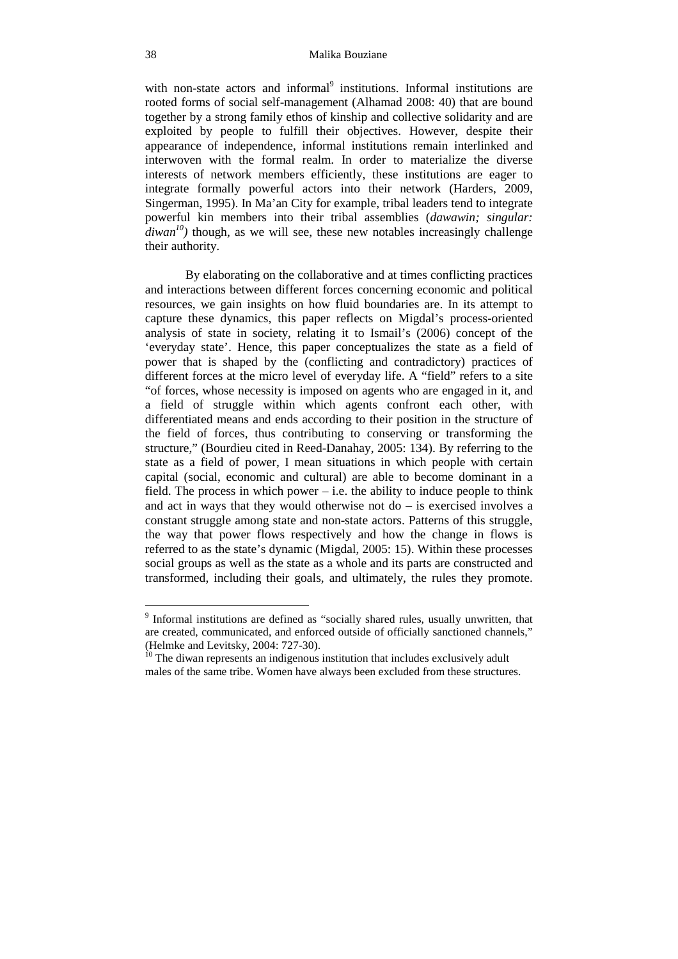with non-state actors and informal<sup>9</sup> institutions. Informal institutions are rooted forms of social self-management (Alhamad 2008: 40) that are bound together by a strong family ethos of kinship and collective solidarity and are exploited by people to fulfill their objectives. However, despite their appearance of independence, informal institutions remain interlinked and interwoven with the formal realm. In order to materialize the diverse interests of network members efficiently, these institutions are eager to integrate formally powerful actors into their network (Harders, 2009, Singerman, 1995). In Ma'an City for example, tribal leaders tend to integrate powerful kin members into their tribal assemblies (*dawawin; singular:*   $divan^{10}$ ) though, as we will see, these new notables increasingly challenge their authority.

By elaborating on the collaborative and at times conflicting practices and interactions between different forces concerning economic and political resources, we gain insights on how fluid boundaries are. In its attempt to capture these dynamics, this paper reflects on Migdal's process-oriented analysis of state in society, relating it to Ismail's (2006) concept of the 'everyday state'. Hence, this paper conceptualizes the state as a field of power that is shaped by the (conflicting and contradictory) practices of different forces at the micro level of everyday life. A "field" refers to a site "of forces, whose necessity is imposed on agents who are engaged in it, and a field of struggle within which agents confront each other, with differentiated means and ends according to their position in the structure of the field of forces, thus contributing to conserving or transforming the structure," (Bourdieu cited in Reed-Danahay, 2005: 134). By referring to the state as a field of power, I mean situations in which people with certain capital (social, economic and cultural) are able to become dominant in a field. The process in which power  $-$  i.e. the ability to induce people to think and act in ways that they would otherwise not do  $-$  is exercised involves a constant struggle among state and non-state actors. Patterns of this struggle, the way that power flows respectively and how the change in flows is referred to as the state's dynamic (Migdal, 2005: 15). Within these processes social groups as well as the state as a whole and its parts are constructed and transformed, including their goals, and ultimately, the rules they promote.

 9 Informal institutions are defined as "socially shared rules, usually unwritten, that are created, communicated, and enforced outside of officially sanctioned channels," (Helmke and Levitsky, 2004: 727-30).

 $10$ <sup>10</sup> The diwan represents an indigenous institution that includes exclusively adult males of the same tribe. Women have always been excluded from these structures.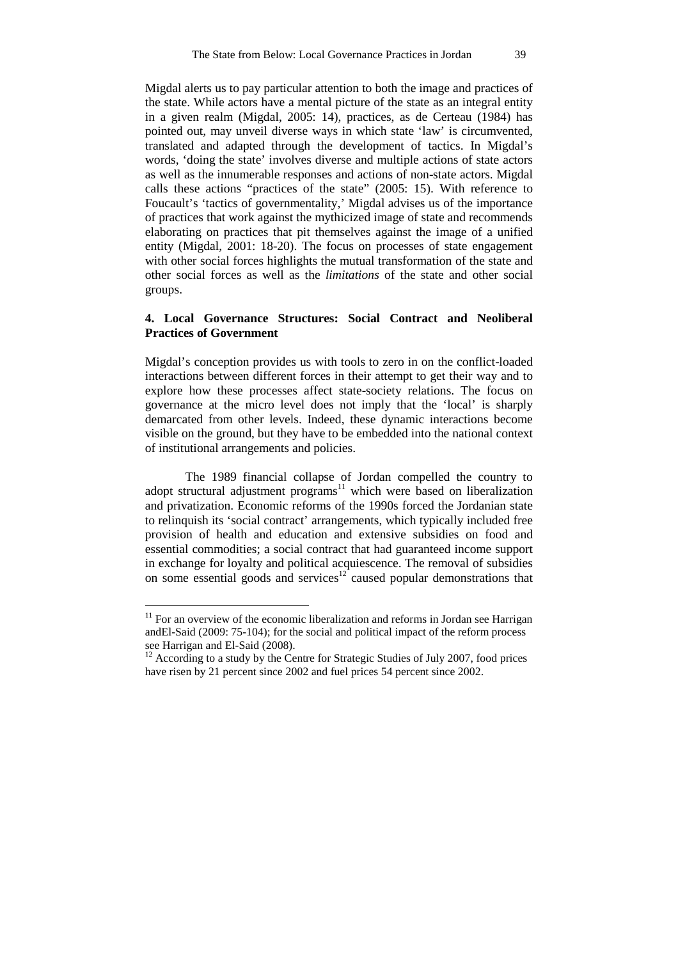Migdal alerts us to pay particular attention to both the image and practices of the state. While actors have a mental picture of the state as an integral entity in a given realm (Migdal, 2005: 14), practices, as de Certeau (1984) has pointed out, may unveil diverse ways in which state 'law' is circumvented, translated and adapted through the development of tactics. In Migdal's words, 'doing the state' involves diverse and multiple actions of state actors as well as the innumerable responses and actions of non-state actors. Migdal calls these actions "practices of the state" (2005: 15). With reference to Foucault's 'tactics of governmentality,' Migdal advises us of the importance of practices that work against the mythicized image of state and recommends elaborating on practices that pit themselves against the image of a unified entity (Migdal, 2001: 18-20). The focus on processes of state engagement with other social forces highlights the mutual transformation of the state and other social forces as well as the *limitations* of the state and other social groups.

# **4. Local Governance Structures: Social Contract and Neoliberal Practices of Government**

Migdal's conception provides us with tools to zero in on the conflict-loaded interactions between different forces in their attempt to get their way and to explore how these processes affect state-society relations. The focus on governance at the micro level does not imply that the 'local' is sharply demarcated from other levels. Indeed, these dynamic interactions become visible on the ground, but they have to be embedded into the national context of institutional arrangements and policies.

The 1989 financial collapse of Jordan compelled the country to adopt structural adjustment programs<sup>11</sup> which were based on liberalization and privatization. Economic reforms of the 1990s forced the Jordanian state to relinquish its 'social contract' arrangements, which typically included free provision of health and education and extensive subsidies on food and essential commodities; a social contract that had guaranteed income support in exchange for loyalty and political acquiescence. The removal of subsidies on some essential goods and services<sup>12</sup> caused popular demonstrations that

 $11$  For an overview of the economic liberalization and reforms in Jordan see Harrigan andEl-Said (2009: 75-104); for the social and political impact of the reform process see Harrigan and El-Said (2008).

 $12$  According to a study by the Centre for Strategic Studies of July 2007, food prices have risen by 21 percent since 2002 and fuel prices 54 percent since 2002.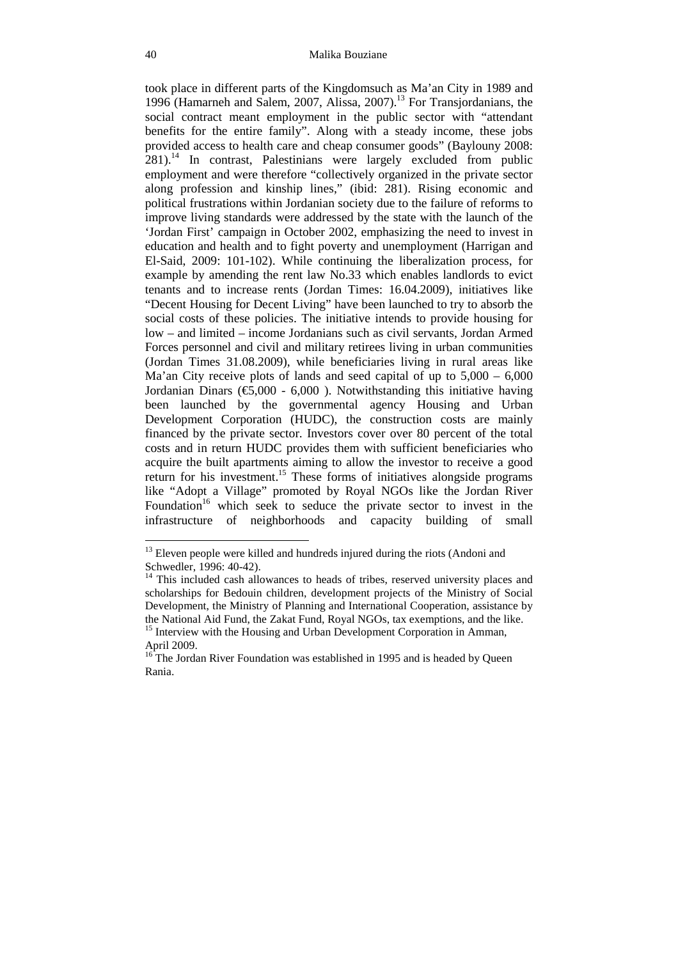took place in different parts of the Kingdomsuch as Ma'an City in 1989 and 1996 (Hamarneh and Salem, 2007, Alissa, 2007).<sup>13</sup> For Transjordanians, the social contract meant employment in the public sector with "attendant benefits for the entire family". Along with a steady income, these jobs provided access to health care and cheap consumer goods" (Baylouny 2008: 281).<sup>14</sup> In contrast, Palestinians were largely excluded from public employment and were therefore "collectively organized in the private sector along profession and kinship lines," (ibid: 281). Rising economic and political frustrations within Jordanian society due to the failure of reforms to improve living standards were addressed by the state with the launch of the 'Jordan First' campaign in October 2002, emphasizing the need to invest in education and health and to fight poverty and unemployment (Harrigan and El-Said, 2009: 101-102). While continuing the liberalization process, for example by amending the rent law No.33 which enables landlords to evict tenants and to increase rents (Jordan Times: 16.04.2009), initiatives like "Decent Housing for Decent Living" have been launched to try to absorb the social costs of these policies. The initiative intends to provide housing for low – and limited – income Jordanians such as civil servants, Jordan Armed Forces personnel and civil and military retirees living in urban communities (Jordan Times 31.08.2009), while beneficiaries living in rural areas like Ma'an City receive plots of lands and seed capital of up to 5,000 – 6,000 Jordanian Dinars ( $\epsilon$ 5,000 - 6,000). Notwithstanding this initiative having been launched by the governmental agency Housing and Urban Development Corporation (HUDC), the construction costs are mainly financed by the private sector. Investors cover over 80 percent of the total costs and in return HUDC provides them with sufficient beneficiaries who acquire the built apartments aiming to allow the investor to receive a good return for his investment.<sup>15</sup> These forms of initiatives alongside programs like "Adopt a Village" promoted by Royal NGOs like the Jordan River Foundation<sup>16</sup> which seek to seduce the private sector to invest in the infrastructure of neighborhoods and capacity building of small

 $13$  Eleven people were killed and hundreds injured during the riots (Andoni and Schwedler, 1996: 40-42).

This included cash allowances to heads of tribes, reserved university places and scholarships for Bedouin children, development projects of the Ministry of Social Development, the Ministry of Planning and International Cooperation, assistance by the National Aid Fund, the Zakat Fund, Royal NGOs, tax exemptions, and the like.

<sup>&</sup>lt;sup>15</sup> Interview with the Housing and Urban Development Corporation in Amman, April 2009.

<sup>&</sup>lt;sup>16</sup> The Jordan River Foundation was established in 1995 and is headed by Queen Rania.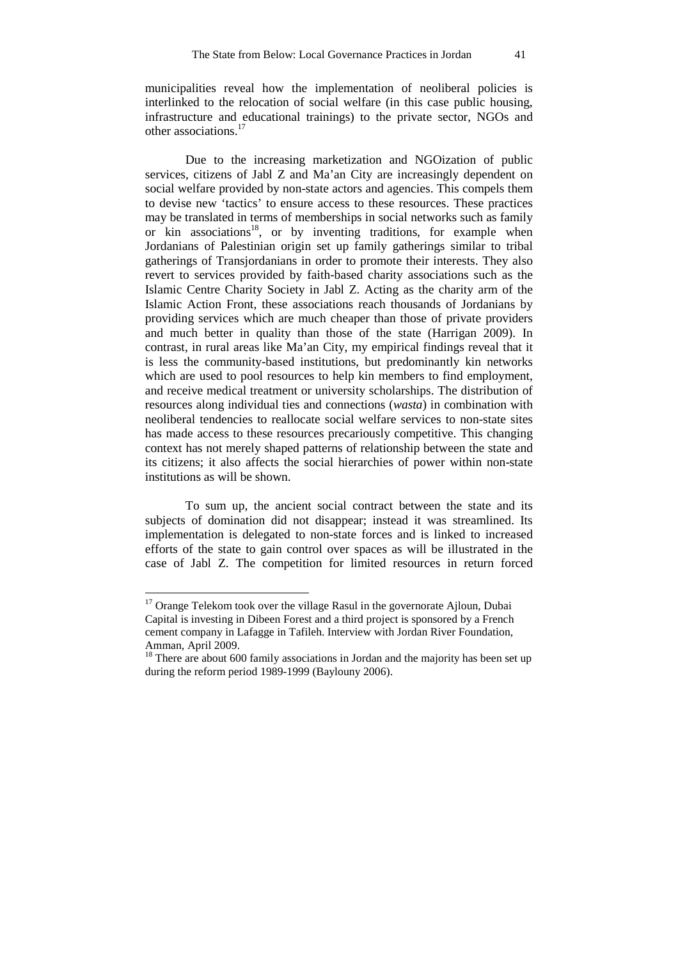municipalities reveal how the implementation of neoliberal policies is interlinked to the relocation of social welfare (in this case public housing, infrastructure and educational trainings) to the private sector, NGOs and other associations.<sup>17</sup>

Due to the increasing marketization and NGOization of public services, citizens of Jabl Z and Ma'an City are increasingly dependent on social welfare provided by non-state actors and agencies. This compels them to devise new 'tactics' to ensure access to these resources. These practices may be translated in terms of memberships in social networks such as family or kin associations<sup>18</sup>, or by inventing traditions, for example when Jordanians of Palestinian origin set up family gatherings similar to tribal gatherings of Transjordanians in order to promote their interests. They also revert to services provided by faith-based charity associations such as the Islamic Centre Charity Society in Jabl Z. Acting as the charity arm of the Islamic Action Front, these associations reach thousands of Jordanians by providing services which are much cheaper than those of private providers and much better in quality than those of the state (Harrigan 2009). In contrast, in rural areas like Ma'an City, my empirical findings reveal that it is less the community-based institutions, but predominantly kin networks which are used to pool resources to help kin members to find employment, and receive medical treatment or university scholarships. The distribution of resources along individual ties and connections (*wasta*) in combination with neoliberal tendencies to reallocate social welfare services to non-state sites has made access to these resources precariously competitive. This changing context has not merely shaped patterns of relationship between the state and its citizens; it also affects the social hierarchies of power within non-state institutions as will be shown.

To sum up, the ancient social contract between the state and its subjects of domination did not disappear; instead it was streamlined. Its implementation is delegated to non-state forces and is linked to increased efforts of the state to gain control over spaces as will be illustrated in the case of Jabl Z. The competition for limited resources in return forced

<sup>&</sup>lt;sup>17</sup> Orange Telekom took over the village Rasul in the governorate Ajloun, Dubai Capital is investing in Dibeen Forest and a third project is sponsored by a French cement company in Lafagge in Tafileh. Interview with Jordan River Foundation, Amman, April 2009.

<sup>&</sup>lt;sup>18</sup> There are about 600 family associations in Jordan and the majority has been set up during the reform period 1989-1999 (Baylouny 2006).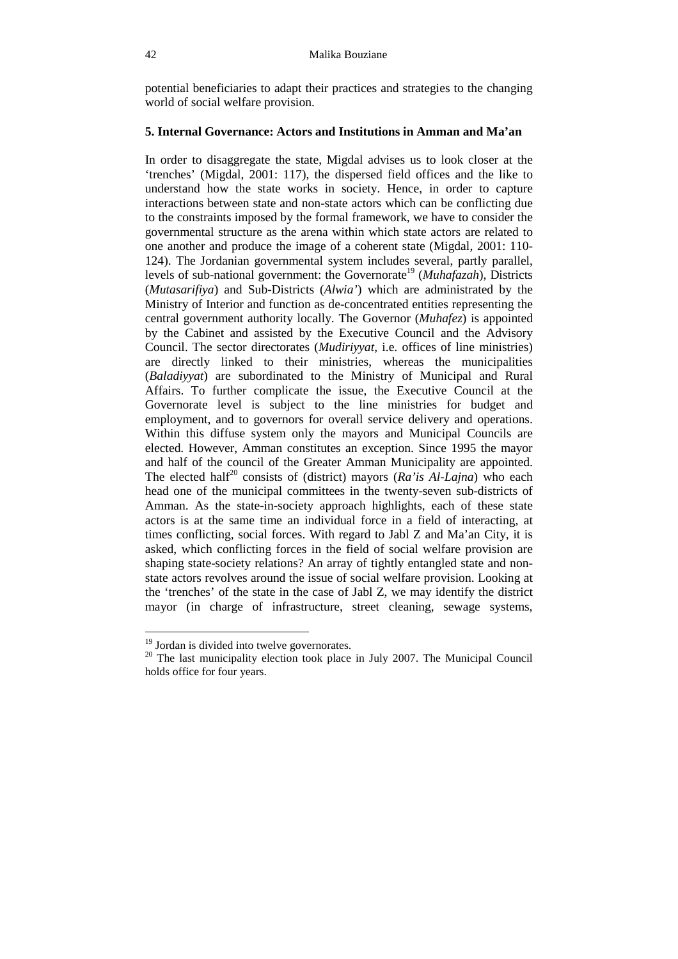potential beneficiaries to adapt their practices and strategies to the changing world of social welfare provision.

# **5. Internal Governance: Actors and Institutions in Amman and Ma'an**

In order to disaggregate the state, Migdal advises us to look closer at the 'trenches' (Migdal, 2001: 117), the dispersed field offices and the like to understand how the state works in society. Hence, in order to capture interactions between state and non-state actors which can be conflicting due to the constraints imposed by the formal framework, we have to consider the governmental structure as the arena within which state actors are related to one another and produce the image of a coherent state (Migdal, 2001: 110- 124). The Jordanian governmental system includes several, partly parallel, levels of sub-national government: the Governorate<sup>19</sup> (*Muhafazah*), Districts (*Mutasarifiya*) and Sub-Districts (*Alwia'*) which are administrated by the Ministry of Interior and function as de-concentrated entities representing the central government authority locally. The Governor (*Muhafez*) is appointed by the Cabinet and assisted by the Executive Council and the Advisory Council. The sector directorates (*Mudiriyyat*, i.e. offices of line ministries) are directly linked to their ministries, whereas the municipalities (*Baladiyyat*) are subordinated to the Ministry of Municipal and Rural Affairs. To further complicate the issue, the Executive Council at the Governorate level is subject to the line ministries for budget and employment, and to governors for overall service delivery and operations. Within this diffuse system only the mayors and Municipal Councils are elected. However, Amman constitutes an exception. Since 1995 the mayor and half of the council of the Greater Amman Municipality are appointed. The elected half<sup>20</sup> consists of (district) mayors ( $Ra$ <sup>'</sup>is  $Al$ -Lajna) who each head one of the municipal committees in the twenty-seven sub-districts of Amman. As the state-in-society approach highlights, each of these state actors is at the same time an individual force in a field of interacting, at times conflicting, social forces. With regard to Jabl Z and Ma'an City, it is asked, which conflicting forces in the field of social welfare provision are shaping state-society relations? An array of tightly entangled state and nonstate actors revolves around the issue of social welfare provision. Looking at the 'trenches' of the state in the case of Jabl Z, we may identify the district mayor (in charge of infrastructure, street cleaning, sewage systems,

<sup>&</sup>lt;sup>19</sup> Jordan is divided into twelve governorates.

<sup>&</sup>lt;sup>20</sup> The last municipality election took place in July 2007. The Municipal Council holds office for four years.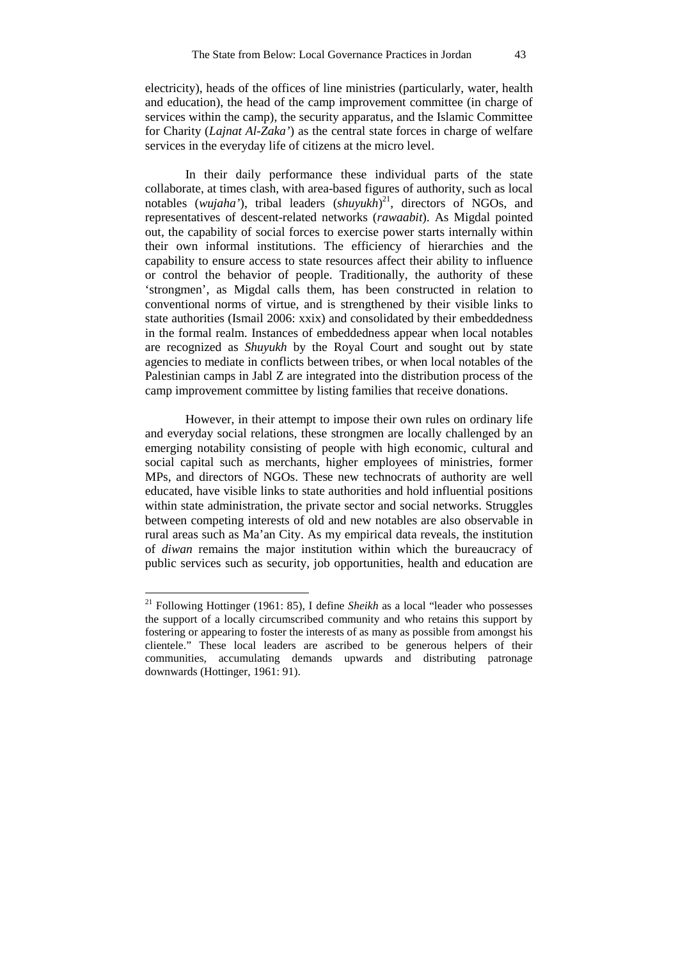electricity), heads of the offices of line ministries (particularly, water, health and education), the head of the camp improvement committee (in charge of services within the camp), the security apparatus, and the Islamic Committee for Charity (*Lajnat Al-Zaka'*) as the central state forces in charge of welfare services in the everyday life of citizens at the micro level.

In their daily performance these individual parts of the state collaborate, at times clash, with area-based figures of authority, such as local notables (*wujaha'*), tribal leaders (*shuyukh*) <sup>21</sup>, directors of NGOs, and representatives of descent-related networks (*rawaabit*). As Migdal pointed out, the capability of social forces to exercise power starts internally within their own informal institutions. The efficiency of hierarchies and the capability to ensure access to state resources affect their ability to influence or control the behavior of people. Traditionally, the authority of these 'strongmen', as Migdal calls them, has been constructed in relation to conventional norms of virtue, and is strengthened by their visible links to state authorities (Ismail 2006: xxix) and consolidated by their embeddedness in the formal realm. Instances of embeddedness appear when local notables are recognized as *Shuyukh* by the Royal Court and sought out by state agencies to mediate in conflicts between tribes, or when local notables of the Palestinian camps in Jabl Z are integrated into the distribution process of the camp improvement committee by listing families that receive donations.

However, in their attempt to impose their own rules on ordinary life and everyday social relations, these strongmen are locally challenged by an emerging notability consisting of people with high economic, cultural and social capital such as merchants, higher employees of ministries, former MPs, and directors of NGOs. These new technocrats of authority are well educated, have visible links to state authorities and hold influential positions within state administration, the private sector and social networks. Struggles between competing interests of old and new notables are also observable in rural areas such as Ma'an City. As my empirical data reveals, the institution of *diwan* remains the major institution within which the bureaucracy of public services such as security, job opportunities, health and education are

<sup>&</sup>lt;sup>21</sup> Following Hottinger (1961: 85), I define *Sheikh* as a local "leader who possesses the support of a locally circumscribed community and who retains this support by fostering or appearing to foster the interests of as many as possible from amongst his clientele." These local leaders are ascribed to be generous helpers of their communities, accumulating demands upwards and distributing patronage downwards (Hottinger, 1961: 91).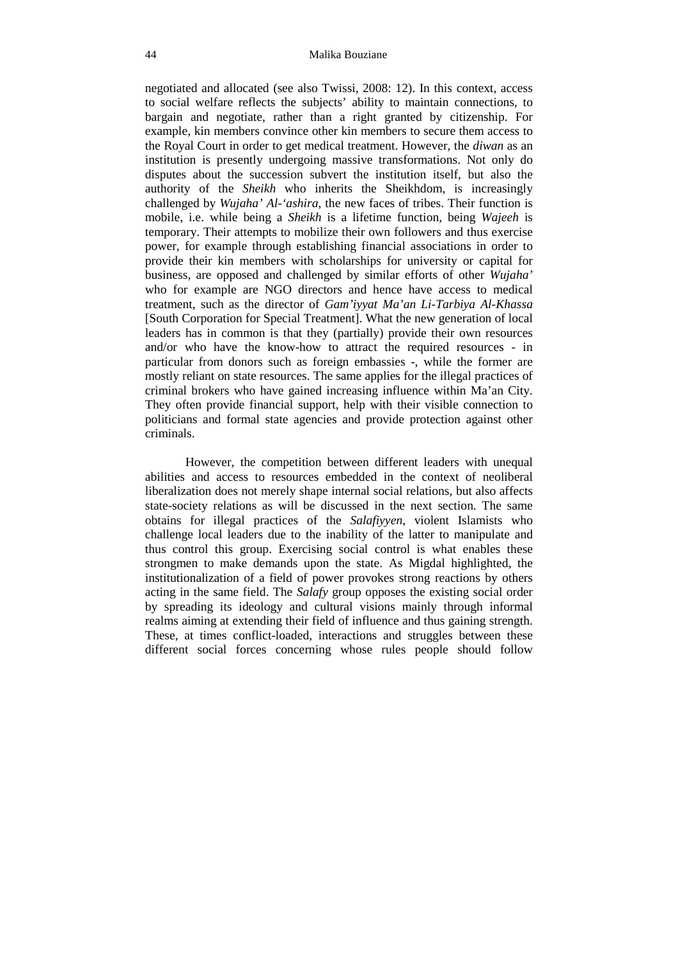negotiated and allocated (see also Twissi, 2008: 12). In this context, access to social welfare reflects the subjects' ability to maintain connections, to bargain and negotiate, rather than a right granted by citizenship. For example, kin members convince other kin members to secure them access to the Royal Court in order to get medical treatment. However, the *diwan* as an institution is presently undergoing massive transformations. Not only do disputes about the succession subvert the institution itself, but also the authority of the *Sheikh* who inherits the Sheikhdom, is increasingly challenged by *Wujaha' Al-'ashira*, the new faces of tribes. Their function is mobile, i.e. while being a *Sheikh* is a lifetime function, being *Wajeeh* is temporary. Their attempts to mobilize their own followers and thus exercise power, for example through establishing financial associations in order to provide their kin members with scholarships for university or capital for business, are opposed and challenged by similar efforts of other *Wujaha'* who for example are NGO directors and hence have access to medical treatment, such as the director of *Gam'iyyat Ma'an Li-Tarbiya Al-Khassa* [South Corporation for Special Treatment]. What the new generation of local leaders has in common is that they (partially) provide their own resources and/or who have the know-how to attract the required resources - in particular from donors such as foreign embassies -, while the former are mostly reliant on state resources. The same applies for the illegal practices of criminal brokers who have gained increasing influence within Ma'an City. They often provide financial support, help with their visible connection to politicians and formal state agencies and provide protection against other criminals.

However, the competition between different leaders with unequal abilities and access to resources embedded in the context of neoliberal liberalization does not merely shape internal social relations, but also affects state-society relations as will be discussed in the next section. The same obtains for illegal practices of the *Salafiyyen*, violent Islamists who challenge local leaders due to the inability of the latter to manipulate and thus control this group. Exercising social control is what enables these strongmen to make demands upon the state. As Migdal highlighted, the institutionalization of a field of power provokes strong reactions by others acting in the same field. The *Salafy* group opposes the existing social order by spreading its ideology and cultural visions mainly through informal realms aiming at extending their field of influence and thus gaining strength. These, at times conflict-loaded, interactions and struggles between these different social forces concerning whose rules people should follow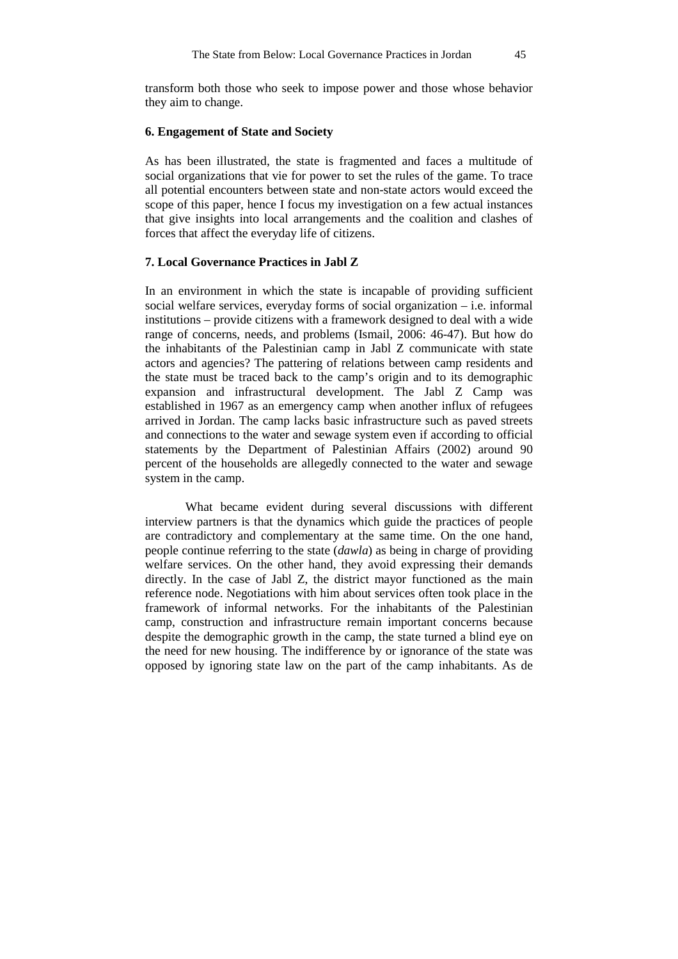transform both those who seek to impose power and those whose behavior they aim to change.

# **6. Engagement of State and Society**

As has been illustrated, the state is fragmented and faces a multitude of social organizations that vie for power to set the rules of the game. To trace all potential encounters between state and non-state actors would exceed the scope of this paper, hence I focus my investigation on a few actual instances that give insights into local arrangements and the coalition and clashes of forces that affect the everyday life of citizens.

## **7. Local Governance Practices in Jabl Z**

In an environment in which the state is incapable of providing sufficient social welfare services, everyday forms of social organization – i.e. informal institutions – provide citizens with a framework designed to deal with a wide range of concerns, needs, and problems (Ismail, 2006: 46-47). But how do the inhabitants of the Palestinian camp in Jabl Z communicate with state actors and agencies? The pattering of relations between camp residents and the state must be traced back to the camp's origin and to its demographic expansion and infrastructural development. The Jabl Z Camp was established in 1967 as an emergency camp when another influx of refugees arrived in Jordan. The camp lacks basic infrastructure such as paved streets and connections to the water and sewage system even if according to official statements by the Department of Palestinian Affairs (2002) around 90 percent of the households are allegedly connected to the water and sewage system in the camp.

What became evident during several discussions with different interview partners is that the dynamics which guide the practices of people are contradictory and complementary at the same time. On the one hand, people continue referring to the state (*dawla*) as being in charge of providing welfare services. On the other hand, they avoid expressing their demands directly. In the case of Jabl Z, the district mayor functioned as the main reference node. Negotiations with him about services often took place in the framework of informal networks. For the inhabitants of the Palestinian camp, construction and infrastructure remain important concerns because despite the demographic growth in the camp, the state turned a blind eye on the need for new housing. The indifference by or ignorance of the state was opposed by ignoring state law on the part of the camp inhabitants. As de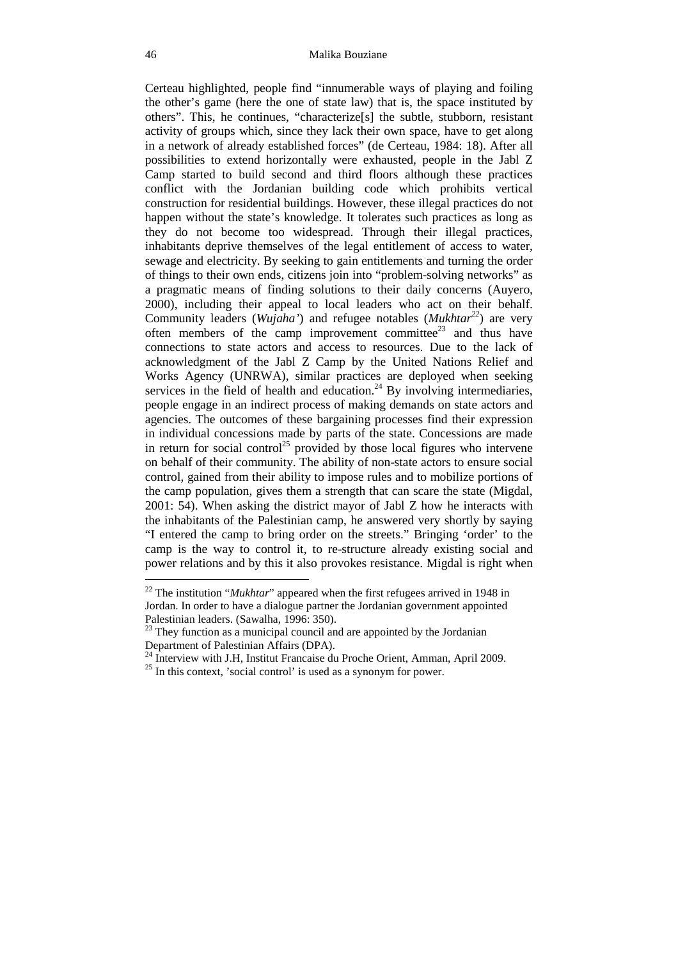Certeau highlighted, people find "innumerable ways of playing and foiling the other's game (here the one of state law) that is, the space instituted by others". This, he continues, "characterize[s] the subtle, stubborn, resistant activity of groups which, since they lack their own space, have to get along in a network of already established forces" (de Certeau, 1984: 18). After all possibilities to extend horizontally were exhausted, people in the Jabl Z Camp started to build second and third floors although these practices conflict with the Jordanian building code which prohibits vertical construction for residential buildings. However, these illegal practices do not happen without the state's knowledge. It tolerates such practices as long as they do not become too widespread. Through their illegal practices, inhabitants deprive themselves of the legal entitlement of access to water, sewage and electricity. By seeking to gain entitlements and turning the order of things to their own ends, citizens join into "problem-solving networks" as a pragmatic means of finding solutions to their daily concerns (Auyero, 2000), including their appeal to local leaders who act on their behalf. Community leaders (*Wujaha'*) and refugee notables (*Mukhtar<sup>22</sup>*) are very often members of the camp improvement committee<sup>23</sup> and thus have connections to state actors and access to resources. Due to the lack of acknowledgment of the Jabl Z Camp by the United Nations Relief and Works Agency (UNRWA), similar practices are deployed when seeking services in the field of health and education.<sup>24</sup> By involving intermediaries, people engage in an indirect process of making demands on state actors and agencies. The outcomes of these bargaining processes find their expression in individual concessions made by parts of the state. Concessions are made in return for social control<sup>25</sup> provided by those local figures who intervene on behalf of their community. The ability of non-state actors to ensure social control, gained from their ability to impose rules and to mobilize portions of the camp population, gives them a strength that can scare the state (Migdal, 2001: 54). When asking the district mayor of Jabl Z how he interacts with the inhabitants of the Palestinian camp, he answered very shortly by saying "I entered the camp to bring order on the streets." Bringing 'order' to the camp is the way to control it, to re-structure already existing social and power relations and by this it also provokes resistance. Migdal is right when

<sup>&</sup>lt;sup>22</sup> The institution "*Mukhtar*" appeared when the first refugees arrived in 1948 in Jordan. In order to have a dialogue partner the Jordanian government appointed Palestinian leaders. (Sawalha, 1996: 350).

<sup>&</sup>lt;sup>23</sup> They function as a municipal council and are appointed by the Jordanian Department of Palestinian Affairs (DPA).

<sup>&</sup>lt;sup>24</sup> Interview with J.H, Institut Francaise du Proche Orient, Amman, April 2009.

 $25$  In this context, 'social control' is used as a synonym for power.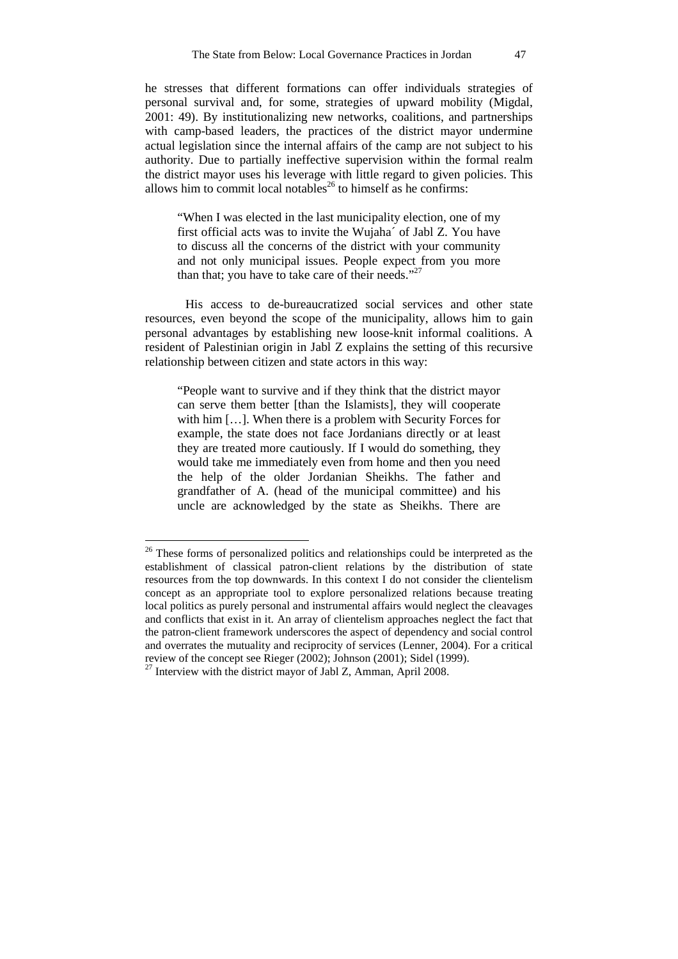he stresses that different formations can offer individuals strategies of personal survival and, for some, strategies of upward mobility (Migdal, 2001: 49). By institutionalizing new networks, coalitions, and partnerships with camp-based leaders, the practices of the district mayor undermine actual legislation since the internal affairs of the camp are not subject to his authority. Due to partially ineffective supervision within the formal realm the district mayor uses his leverage with little regard to given policies. This allows him to commit local notables<sup>26</sup> to himself as he confirms:

"When I was elected in the last municipality election, one of my first official acts was to invite the Wujaha´ of Jabl Z. You have to discuss all the concerns of the district with your community and not only municipal issues. People expect from you more than that; you have to take care of their needs." $27$ 

His access to de-bureaucratized social services and other state resources, even beyond the scope of the municipality, allows him to gain personal advantages by establishing new loose-knit informal coalitions. A resident of Palestinian origin in Jabl Z explains the setting of this recursive relationship between citizen and state actors in this way:

"People want to survive and if they think that the district mayor can serve them better [than the Islamists], they will cooperate with him […]. When there is a problem with Security Forces for example, the state does not face Jordanians directly or at least they are treated more cautiously. If I would do something, they would take me immediately even from home and then you need the help of the older Jordanian Sheikhs. The father and grandfather of A. (head of the municipal committee) and his uncle are acknowledged by the state as Sheikhs. There are

<sup>&</sup>lt;sup>26</sup> These forms of personalized politics and relationships could be interpreted as the establishment of classical patron-client relations by the distribution of state resources from the top downwards. In this context I do not consider the clientelism concept as an appropriate tool to explore personalized relations because treating local politics as purely personal and instrumental affairs would neglect the cleavages and conflicts that exist in it. An array of clientelism approaches neglect the fact that the patron-client framework underscores the aspect of dependency and social control and overrates the mutuality and reciprocity of services (Lenner, 2004). For a critical review of the concept see Rieger (2002); Johnson (2001); Sidel (1999).

<sup>&</sup>lt;sup>27</sup> Interview with the district mayor of Jabl Z, Amman, April 2008.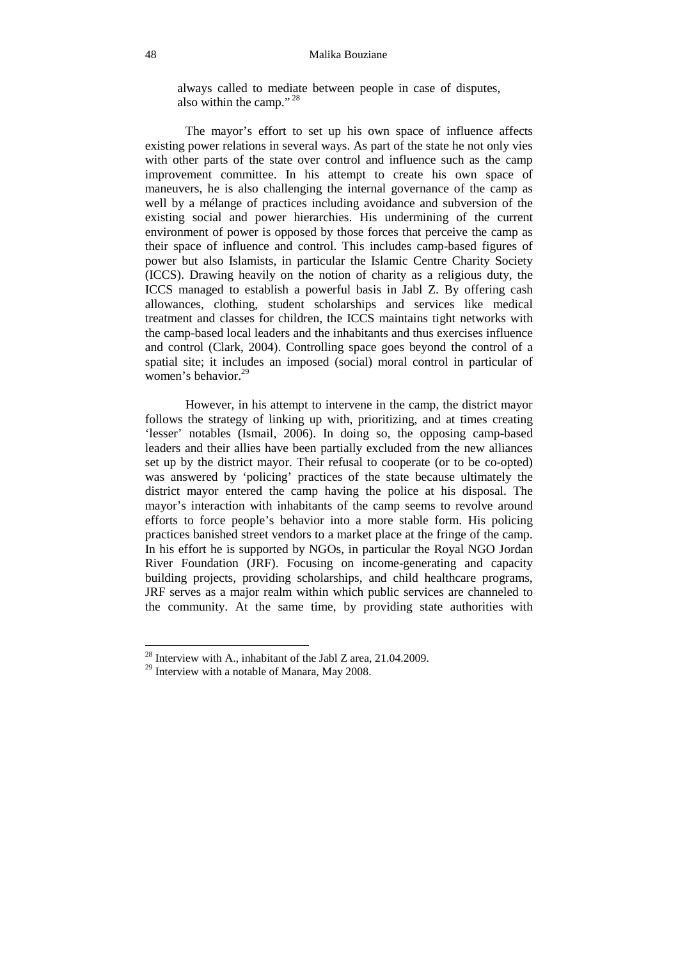## 48 Malika Bouziane

always called to mediate between people in case of disputes, also within the camp."<sup>28</sup>

The mayor's effort to set up his own space of influence affects existing power relations in several ways. As part of the state he not only vies with other parts of the state over control and influence such as the camp improvement committee. In his attempt to create his own space of maneuvers, he is also challenging the internal governance of the camp as well by a mélange of practices including avoidance and subversion of the existing social and power hierarchies. His undermining of the current environment of power is opposed by those forces that perceive the camp as their space of influence and control. This includes camp-based figures of power but also Islamists, in particular the Islamic Centre Charity Society (ICCS). Drawing heavily on the notion of charity as a religious duty, the ICCS managed to establish a powerful basis in Jabl Z. By offering cash allowances, clothing, student scholarships and services like medical treatment and classes for children, the ICCS maintains tight networks with the camp-based local leaders and the inhabitants and thus exercises influence and control (Clark, 2004). Controlling space goes beyond the control of a spatial site; it includes an imposed (social) moral control in particular of women's behavior.<sup>29</sup>

However, in his attempt to intervene in the camp, the district mayor follows the strategy of linking up with, prioritizing, and at times creating 'lesser' notables (Ismail, 2006). In doing so, the opposing camp-based leaders and their allies have been partially excluded from the new alliances set up by the district mayor. Their refusal to cooperate (or to be co-opted) was answered by 'policing' practices of the state because ultimately the district mayor entered the camp having the police at his disposal. The mayor's interaction with inhabitants of the camp seems to revolve around efforts to force people's behavior into a more stable form. His policing practices banished street vendors to a market place at the fringe of the camp. In his effort he is supported by NGOs, in particular the Royal NGO Jordan River Foundation (JRF). Focusing on income-generating and capacity building projects, providing scholarships, and child healthcare programs, JRF serves as a major realm within which public services are channeled to the community. At the same time, by providing state authorities with

<sup>&</sup>lt;sup>28</sup> Interview with A., inhabitant of the Jabl Z area,  $21.04.2009$ .

<sup>&</sup>lt;sup>29</sup> Interview with a notable of Manara, May 2008.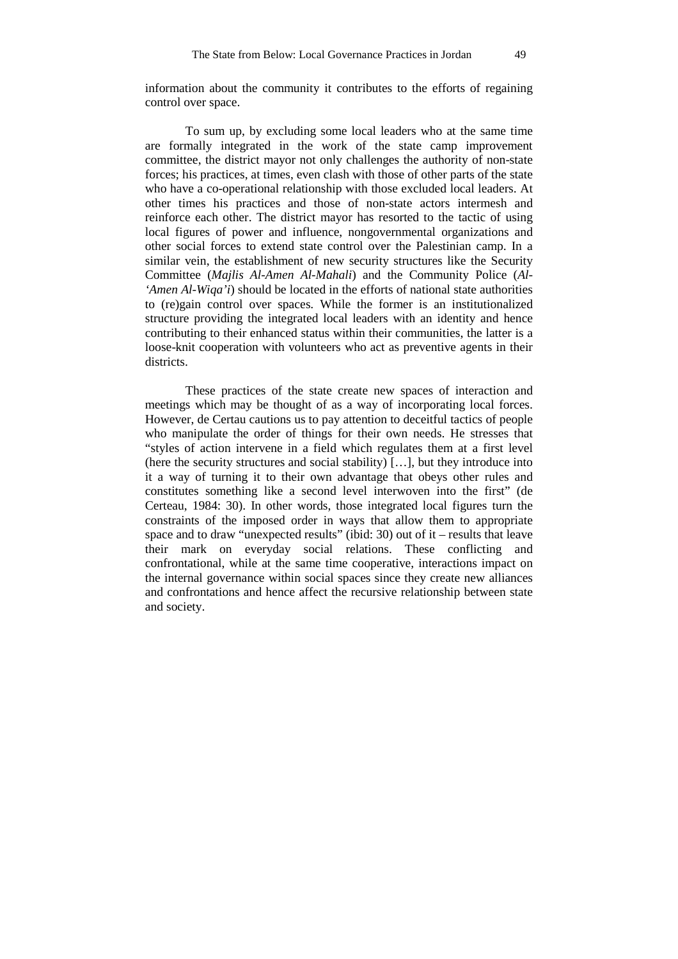information about the community it contributes to the efforts of regaining control over space.

To sum up, by excluding some local leaders who at the same time are formally integrated in the work of the state camp improvement committee, the district mayor not only challenges the authority of non-state forces; his practices, at times, even clash with those of other parts of the state who have a co-operational relationship with those excluded local leaders. At other times his practices and those of non-state actors intermesh and reinforce each other. The district mayor has resorted to the tactic of using local figures of power and influence, nongovernmental organizations and other social forces to extend state control over the Palestinian camp. In a similar vein, the establishment of new security structures like the Security Committee (*Majlis Al-Amen Al-Mahali*) and the Community Police (*Al- 'Amen Al-Wiqa'i*) should be located in the efforts of national state authorities to (re)gain control over spaces. While the former is an institutionalized structure providing the integrated local leaders with an identity and hence contributing to their enhanced status within their communities, the latter is a loose-knit cooperation with volunteers who act as preventive agents in their districts.

These practices of the state create new spaces of interaction and meetings which may be thought of as a way of incorporating local forces. However, de Certau cautions us to pay attention to deceitful tactics of people who manipulate the order of things for their own needs. He stresses that "styles of action intervene in a field which regulates them at a first level (here the security structures and social stability) […], but they introduce into it a way of turning it to their own advantage that obeys other rules and constitutes something like a second level interwoven into the first" (de Certeau, 1984: 30). In other words, those integrated local figures turn the constraints of the imposed order in ways that allow them to appropriate space and to draw "unexpected results" (ibid: 30) out of it – results that leave their mark on everyday social relations. These conflicting and confrontational, while at the same time cooperative, interactions impact on the internal governance within social spaces since they create new alliances and confrontations and hence affect the recursive relationship between state and society.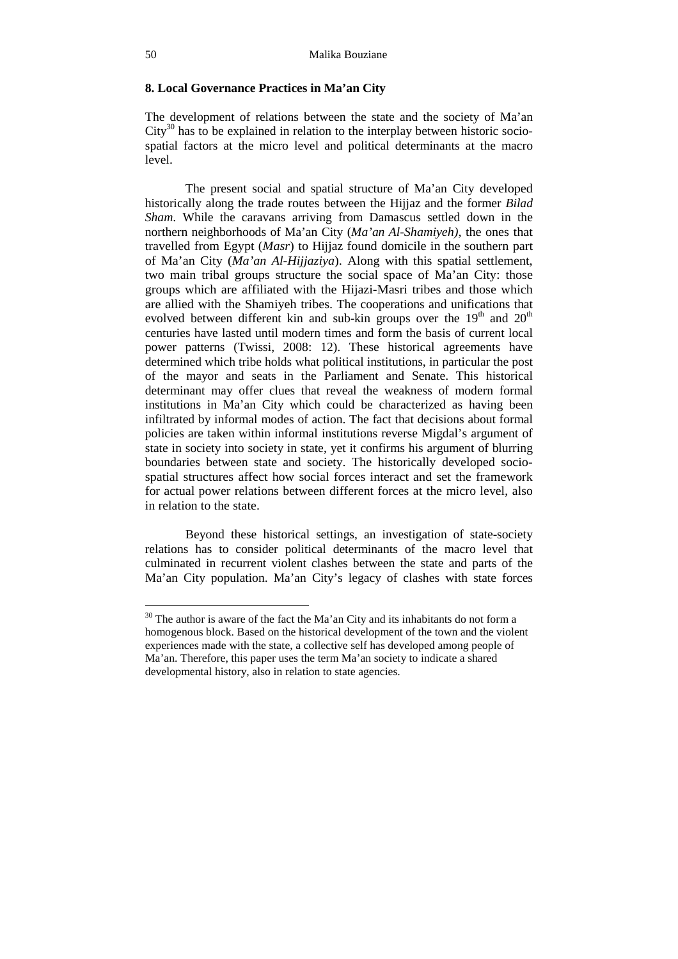## **8. Local Governance Practices in Ma'an City**

The development of relations between the state and the society of Ma'an  $City<sup>30</sup>$  has to be explained in relation to the interplay between historic sociospatial factors at the micro level and political determinants at the macro level.

The present social and spatial structure of Ma'an City developed historically along the trade routes between the Hijjaz and the former *Bilad Sham*. While the caravans arriving from Damascus settled down in the northern neighborhoods of Ma'an City (*Ma'an Al-Shamiyeh)*, the ones that travelled from Egypt (*Masr*) to Hijjaz found domicile in the southern part of Ma'an City (*Ma'an Al-Hijjaziya*). Along with this spatial settlement, two main tribal groups structure the social space of Ma'an City: those groups which are affiliated with the Hijazi-Masri tribes and those which are allied with the Shamiyeh tribes. The cooperations and unifications that evolved between different kin and sub-kin groups over the  $19<sup>th</sup>$  and  $20<sup>th</sup>$ centuries have lasted until modern times and form the basis of current local power patterns (Twissi, 2008: 12). These historical agreements have determined which tribe holds what political institutions, in particular the post of the mayor and seats in the Parliament and Senate. This historical determinant may offer clues that reveal the weakness of modern formal institutions in Ma'an City which could be characterized as having been infiltrated by informal modes of action. The fact that decisions about formal policies are taken within informal institutions reverse Migdal's argument of state in society into society in state, yet it confirms his argument of blurring boundaries between state and society. The historically developed sociospatial structures affect how social forces interact and set the framework for actual power relations between different forces at the micro level, also in relation to the state.

Beyond these historical settings, an investigation of state-society relations has to consider political determinants of the macro level that culminated in recurrent violent clashes between the state and parts of the Ma'an City population. Ma'an City's legacy of clashes with state forces

 $30$  The author is aware of the fact the Ma'an City and its inhabitants do not form a homogenous block. Based on the historical development of the town and the violent experiences made with the state, a collective self has developed among people of Ma'an. Therefore, this paper uses the term Ma'an society to indicate a shared developmental history, also in relation to state agencies.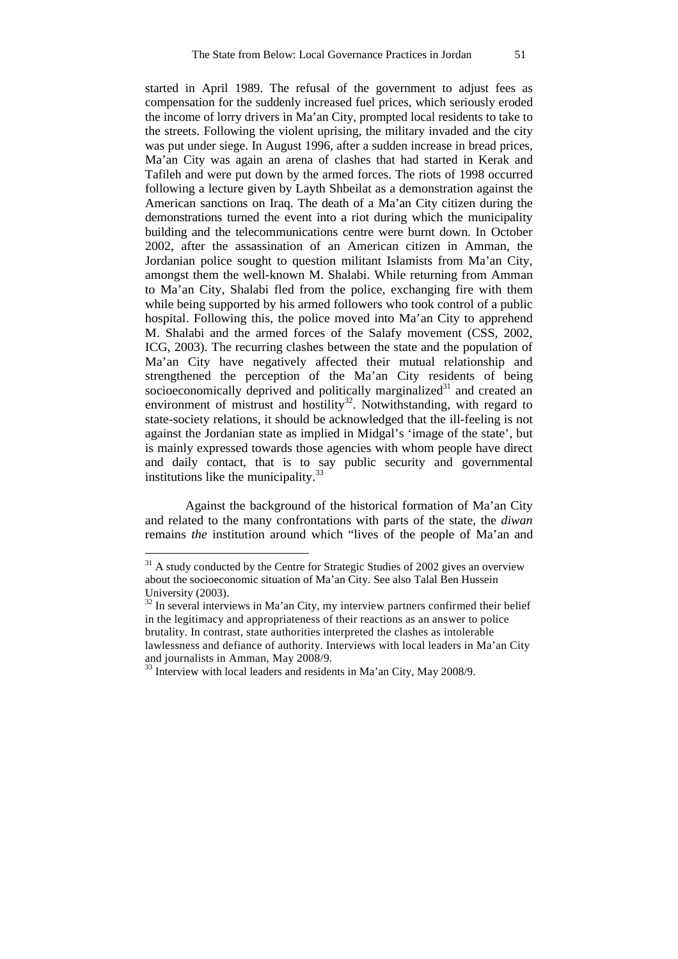started in April 1989. The refusal of the government to adjust fees as compensation for the suddenly increased fuel prices, which seriously eroded the income of lorry drivers in Ma'an City, prompted local residents to take to the streets. Following the violent uprising, the military invaded and the city was put under siege. In August 1996, after a sudden increase in bread prices, Ma'an City was again an arena of clashes that had started in Kerak and Tafileh and were put down by the armed forces. The riots of 1998 occurred following a lecture given by Layth Shbeilat as a demonstration against the American sanctions on Iraq. The death of a Ma'an City citizen during the demonstrations turned the event into a riot during which the municipality building and the telecommunications centre were burnt down. In October 2002, after the assassination of an American citizen in Amman, the Jordanian police sought to question militant Islamists from Ma'an City, amongst them the well-known M. Shalabi. While returning from Amman to Ma'an City, Shalabi fled from the police, exchanging fire with them while being supported by his armed followers who took control of a public hospital. Following this, the police moved into Ma'an City to apprehend M. Shalabi and the armed forces of the Salafy movement (CSS, 2002, ICG, 2003). The recurring clashes between the state and the population of Ma'an City have negatively affected their mutual relationship and strengthened the perception of the Ma'an City residents of being socioeconomically deprived and politically marginalized<sup>31</sup> and created an environment of mistrust and hostility<sup>32</sup>. Notwithstanding, with regard to state-society relations, it should be acknowledged that the ill-feeling is not against the Jordanian state as implied in Midgal's 'image of the state', but is mainly expressed towards those agencies with whom people have direct and daily contact, that is to say public security and governmental institutions like the municipality. $33$ 

Against the background of the historical formation of Ma'an City and related to the many confrontations with parts of the state, the *diwan* remains *the* institution around which "lives of the people of Ma'an and

<sup>&</sup>lt;sup>31</sup> A study conducted by the Centre for Strategic Studies of 2002 gives an overview about the socioeconomic situation of Ma'an City. See also Talal Ben Hussein University (2003).

<sup>&</sup>lt;sup>32</sup> In several interviews in Ma'an City, my interview partners confirmed their belief in the legitimacy and appropriateness of their reactions as an answer to police brutality. In contrast, state authorities interpreted the clashes as intolerable lawlessness and defiance of authority. Interviews with local leaders in Ma'an City and journalists in Amman, May 2008/9.

<sup>&</sup>lt;sup>33</sup> Interview with local leaders and residents in Ma'an City, May 2008/9.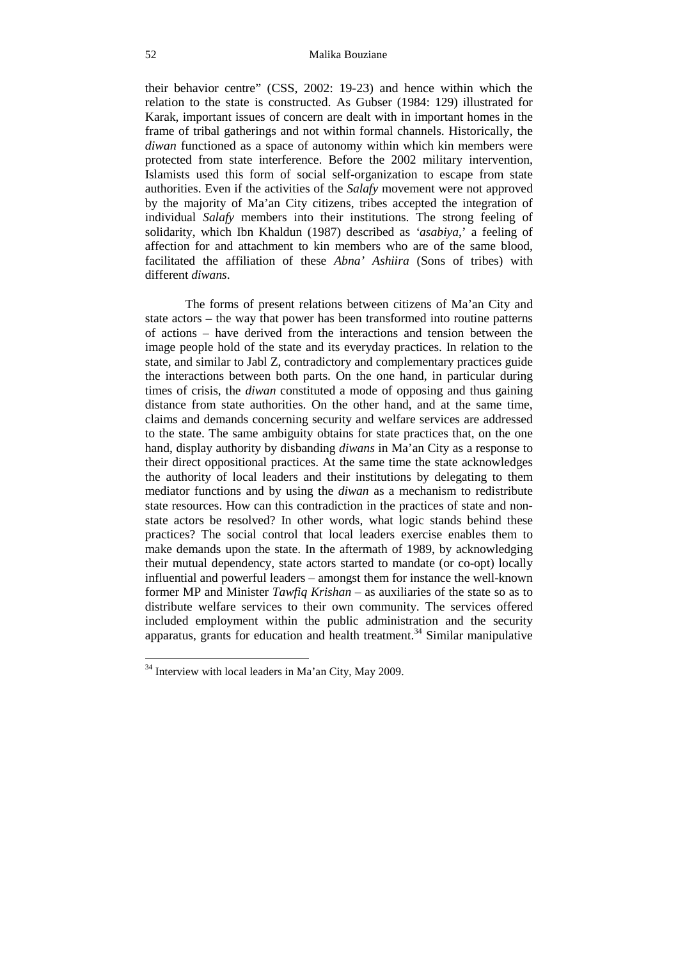## 52 Malika Bouziane

their behavior centre" (CSS, 2002: 19-23) and hence within which the relation to the state is constructed. As Gubser (1984: 129) illustrated for Karak, important issues of concern are dealt with in important homes in the frame of tribal gatherings and not within formal channels. Historically, the *diwan* functioned as a space of autonomy within which kin members were protected from state interference. Before the 2002 military intervention, Islamists used this form of social self-organization to escape from state authorities. Even if the activities of the *Salafy* movement were not approved by the majority of Ma'an City citizens, tribes accepted the integration of individual *Salafy* members into their institutions. The strong feeling of solidarity, which Ibn Khaldun (1987) described as *'asabiya*,' a feeling of affection for and attachment to kin members who are of the same blood, facilitated the affiliation of these *Abna' Ashiira* (Sons of tribes) with different *diwans*.

The forms of present relations between citizens of Ma'an City and state actors – the way that power has been transformed into routine patterns of actions – have derived from the interactions and tension between the image people hold of the state and its everyday practices. In relation to the state, and similar to Jabl Z, contradictory and complementary practices guide the interactions between both parts. On the one hand, in particular during times of crisis, the *diwan* constituted a mode of opposing and thus gaining distance from state authorities. On the other hand, and at the same time, claims and demands concerning security and welfare services are addressed to the state. The same ambiguity obtains for state practices that, on the one hand, display authority by disbanding *diwans* in Ma'an City as a response to their direct oppositional practices. At the same time the state acknowledges the authority of local leaders and their institutions by delegating to them mediator functions and by using the *diwan* as a mechanism to redistribute state resources. How can this contradiction in the practices of state and nonstate actors be resolved? In other words, what logic stands behind these practices? The social control that local leaders exercise enables them to make demands upon the state. In the aftermath of 1989, by acknowledging their mutual dependency, state actors started to mandate (or co-opt) locally influential and powerful leaders – amongst them for instance the well-known former MP and Minister *Tawfiq Krishan* – as auxiliaries of the state so as to distribute welfare services to their own community. The services offered included employment within the public administration and the security apparatus, grants for education and health treatment.<sup>34</sup> Similar manipulative

 $34$  Interview with local leaders in Ma'an City, May 2009.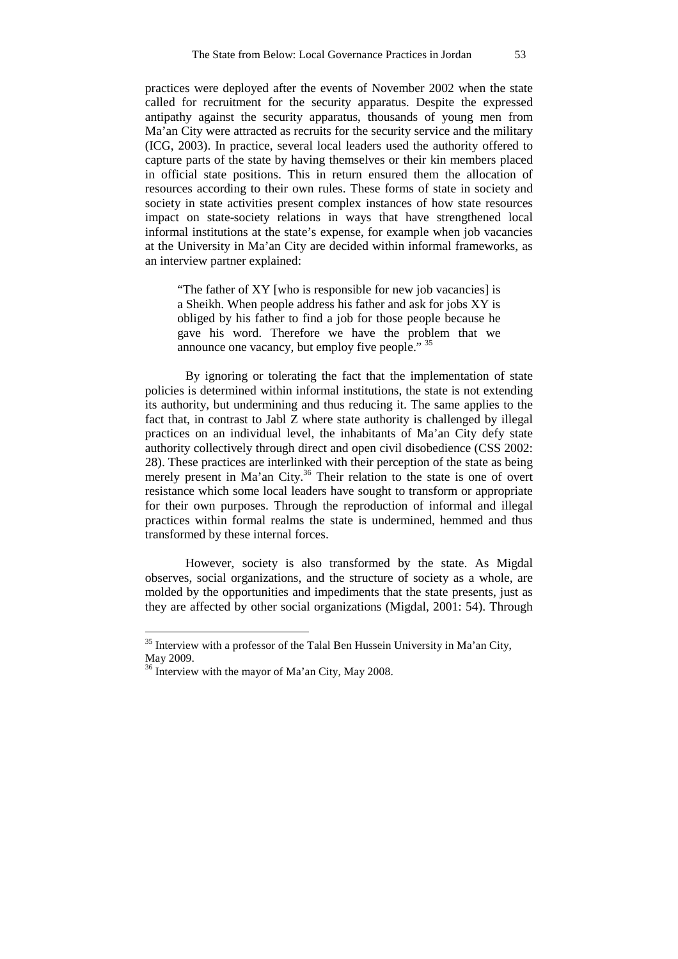practices were deployed after the events of November 2002 when the state called for recruitment for the security apparatus. Despite the expressed antipathy against the security apparatus, thousands of young men from Ma'an City were attracted as recruits for the security service and the military (ICG, 2003). In practice, several local leaders used the authority offered to capture parts of the state by having themselves or their kin members placed in official state positions. This in return ensured them the allocation of resources according to their own rules. These forms of state in society and society in state activities present complex instances of how state resources impact on state-society relations in ways that have strengthened local informal institutions at the state's expense, for example when job vacancies at the University in Ma'an City are decided within informal frameworks, as an interview partner explained:

"The father of XY [who is responsible for new job vacancies] is a Sheikh. When people address his father and ask for jobs XY is obliged by his father to find a job for those people because he gave his word. Therefore we have the problem that we announce one vacancy, but employ five people." 35

By ignoring or tolerating the fact that the implementation of state policies is determined within informal institutions, the state is not extending its authority, but undermining and thus reducing it. The same applies to the fact that, in contrast to Jabl Z where state authority is challenged by illegal practices on an individual level, the inhabitants of Ma'an City defy state authority collectively through direct and open civil disobedience (CSS 2002: 28). These practices are interlinked with their perception of the state as being merely present in Ma'an City.<sup>36</sup> Their relation to the state is one of overt resistance which some local leaders have sought to transform or appropriate for their own purposes. Through the reproduction of informal and illegal practices within formal realms the state is undermined, hemmed and thus transformed by these internal forces.

However, society is also transformed by the state. As Migdal observes, social organizations, and the structure of society as a whole, are molded by the opportunities and impediments that the state presents, just as they are affected by other social organizations (Migdal, 2001: 54). Through

 $35$  Interview with a professor of the Talal Ben Hussein University in Ma'an City, May 2009.

<sup>&</sup>lt;sup>36</sup> Interview with the mayor of Ma'an City, May 2008.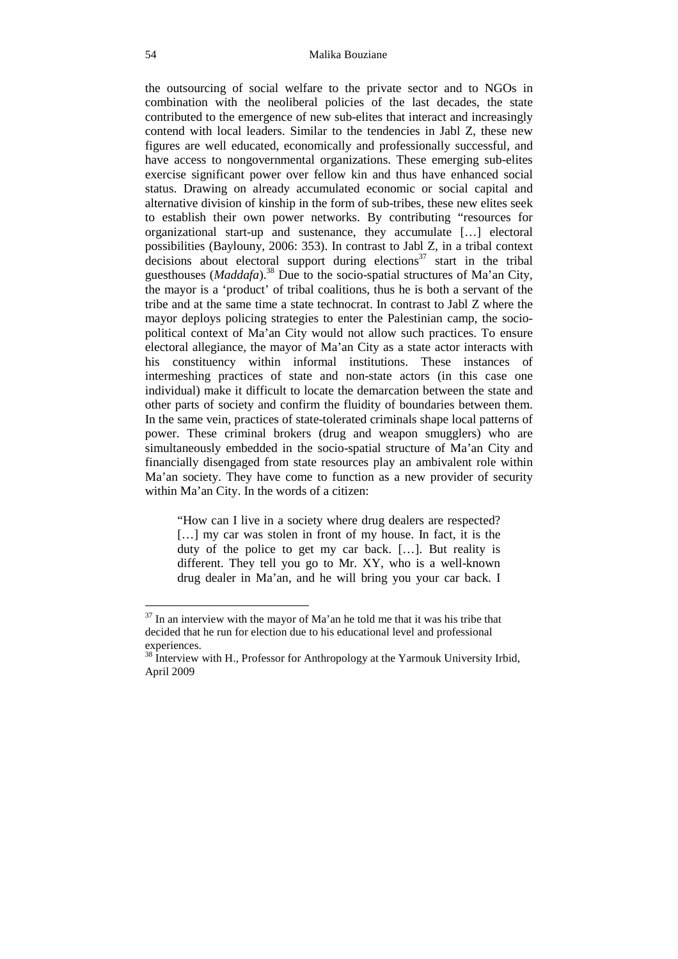the outsourcing of social welfare to the private sector and to NGOs in combination with the neoliberal policies of the last decades, the state contributed to the emergence of new sub-elites that interact and increasingly contend with local leaders. Similar to the tendencies in Jabl Z, these new figures are well educated, economically and professionally successful, and have access to nongovernmental organizations. These emerging sub-elites exercise significant power over fellow kin and thus have enhanced social status. Drawing on already accumulated economic or social capital and alternative division of kinship in the form of sub-tribes, these new elites seek to establish their own power networks. By contributing "resources for organizational start-up and sustenance, they accumulate […] electoral possibilities (Baylouny, 2006: 353). In contrast to Jabl Z, in a tribal context decisions about electoral support during elections<sup>37</sup> start in the tribal guesthouses (*Maddafa*).<sup>38</sup> Due to the socio-spatial structures of Ma'an City, the mayor is a 'product' of tribal coalitions, thus he is both a servant of the tribe and at the same time a state technocrat. In contrast to Jabl Z where the mayor deploys policing strategies to enter the Palestinian camp, the sociopolitical context of Ma'an City would not allow such practices. To ensure electoral allegiance, the mayor of Ma'an City as a state actor interacts with his constituency within informal institutions. These instances of intermeshing practices of state and non-state actors (in this case one individual) make it difficult to locate the demarcation between the state and other parts of society and confirm the fluidity of boundaries between them. In the same vein, practices of state-tolerated criminals shape local patterns of power. These criminal brokers (drug and weapon smugglers) who are simultaneously embedded in the socio-spatial structure of Ma'an City and financially disengaged from state resources play an ambivalent role within Ma'an society. They have come to function as a new provider of security within Ma'an City. In the words of a citizen:

"How can I live in a society where drug dealers are respected? [...] my car was stolen in front of my house. In fact, it is the duty of the police to get my car back. […]. But reality is different. They tell you go to Mr. XY, who is a well-known drug dealer in Ma'an, and he will bring you your car back. I

 $37$  In an interview with the mayor of Ma'an he told me that it was his tribe that decided that he run for election due to his educational level and professional experiences.

<sup>&</sup>lt;sup>38</sup> Interview with H., Professor for Anthropology at the Yarmouk University Irbid, April 2009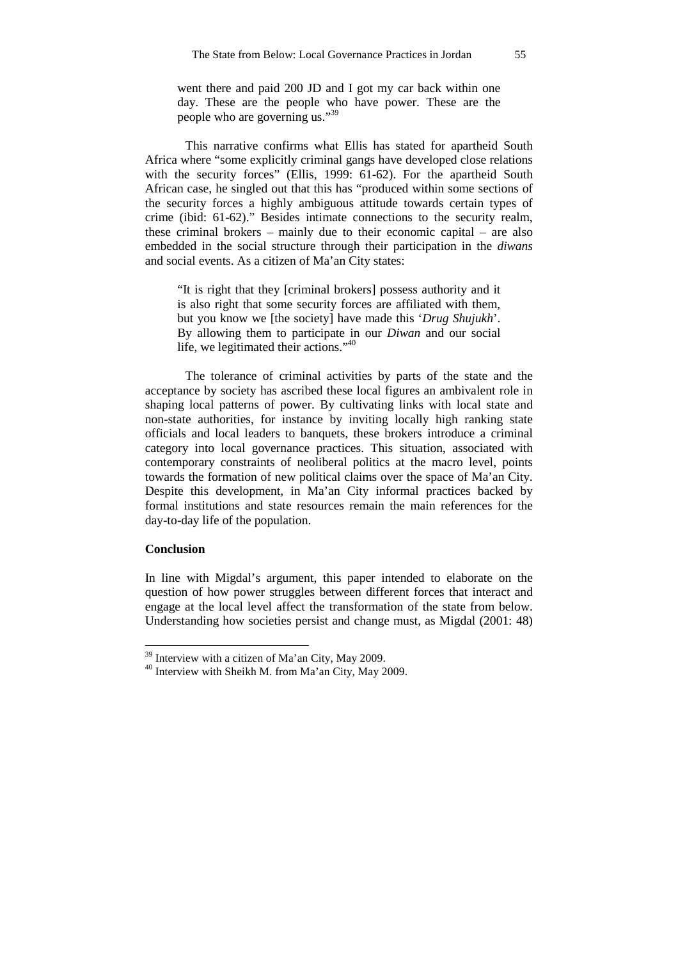went there and paid 200 JD and I got my car back within one day. These are the people who have power. These are the people who are governing us."<sup>39</sup>

This narrative confirms what Ellis has stated for apartheid South Africa where "some explicitly criminal gangs have developed close relations with the security forces" (Ellis, 1999: 61-62). For the apartheid South African case, he singled out that this has "produced within some sections of the security forces a highly ambiguous attitude towards certain types of crime (ibid: 61-62)." Besides intimate connections to the security realm, these criminal brokers – mainly due to their economic capital – are also embedded in the social structure through their participation in the *diwans* and social events. As a citizen of Ma'an City states:

"It is right that they [criminal brokers] possess authority and it is also right that some security forces are affiliated with them, but you know we [the society] have made this '*Drug Shujukh*'. By allowing them to participate in our *Diwan* and our social life, we legitimated their actions."<sup>40</sup>

The tolerance of criminal activities by parts of the state and the acceptance by society has ascribed these local figures an ambivalent role in shaping local patterns of power. By cultivating links with local state and non-state authorities, for instance by inviting locally high ranking state officials and local leaders to banquets, these brokers introduce a criminal category into local governance practices. This situation, associated with contemporary constraints of neoliberal politics at the macro level, points towards the formation of new political claims over the space of Ma'an City. Despite this development, in Ma'an City informal practices backed by formal institutions and state resources remain the main references for the day-to-day life of the population.

## **Conclusion**

 $\overline{a}$ 

In line with Migdal's argument, this paper intended to elaborate on the question of how power struggles between different forces that interact and engage at the local level affect the transformation of the state from below. Understanding how societies persist and change must, as Migdal (2001: 48)

 $39$  Interview with a citizen of Ma'an City, May 2009.

<sup>40</sup> Interview with Sheikh M. from Ma'an City, May 2009.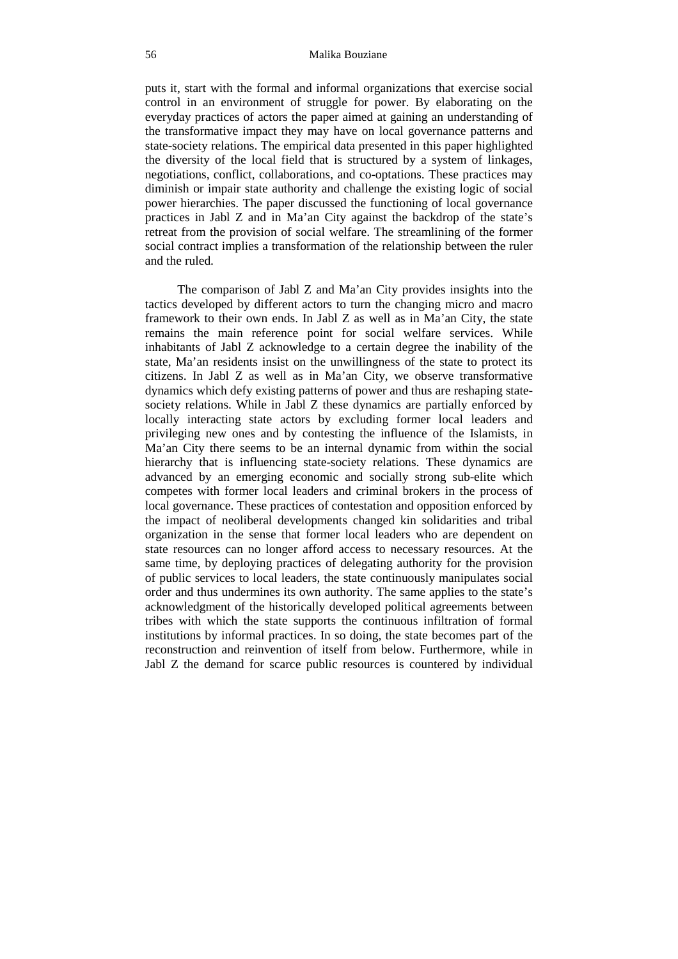#### 56 Malika Bouziane

puts it, start with the formal and informal organizations that exercise social control in an environment of struggle for power. By elaborating on the everyday practices of actors the paper aimed at gaining an understanding of the transformative impact they may have on local governance patterns and state-society relations. The empirical data presented in this paper highlighted the diversity of the local field that is structured by a system of linkages, negotiations, conflict, collaborations, and co-optations. These practices may diminish or impair state authority and challenge the existing logic of social power hierarchies. The paper discussed the functioning of local governance practices in Jabl Z and in Ma'an City against the backdrop of the state's retreat from the provision of social welfare. The streamlining of the former social contract implies a transformation of the relationship between the ruler and the ruled.

The comparison of Jabl Z and Ma'an City provides insights into the tactics developed by different actors to turn the changing micro and macro framework to their own ends. In Jabl Z as well as in Ma'an City, the state remains the main reference point for social welfare services. While inhabitants of Jabl Z acknowledge to a certain degree the inability of the state, Ma'an residents insist on the unwillingness of the state to protect its citizens. In Jabl Z as well as in Ma'an City, we observe transformative dynamics which defy existing patterns of power and thus are reshaping statesociety relations. While in Jabl Z these dynamics are partially enforced by locally interacting state actors by excluding former local leaders and privileging new ones and by contesting the influence of the Islamists, in Ma'an City there seems to be an internal dynamic from within the social hierarchy that is influencing state-society relations. These dynamics are advanced by an emerging economic and socially strong sub-elite which competes with former local leaders and criminal brokers in the process of local governance. These practices of contestation and opposition enforced by the impact of neoliberal developments changed kin solidarities and tribal organization in the sense that former local leaders who are dependent on state resources can no longer afford access to necessary resources. At the same time, by deploying practices of delegating authority for the provision of public services to local leaders, the state continuously manipulates social order and thus undermines its own authority. The same applies to the state's acknowledgment of the historically developed political agreements between tribes with which the state supports the continuous infiltration of formal institutions by informal practices. In so doing, the state becomes part of the reconstruction and reinvention of itself from below. Furthermore, while in Jabl Z the demand for scarce public resources is countered by individual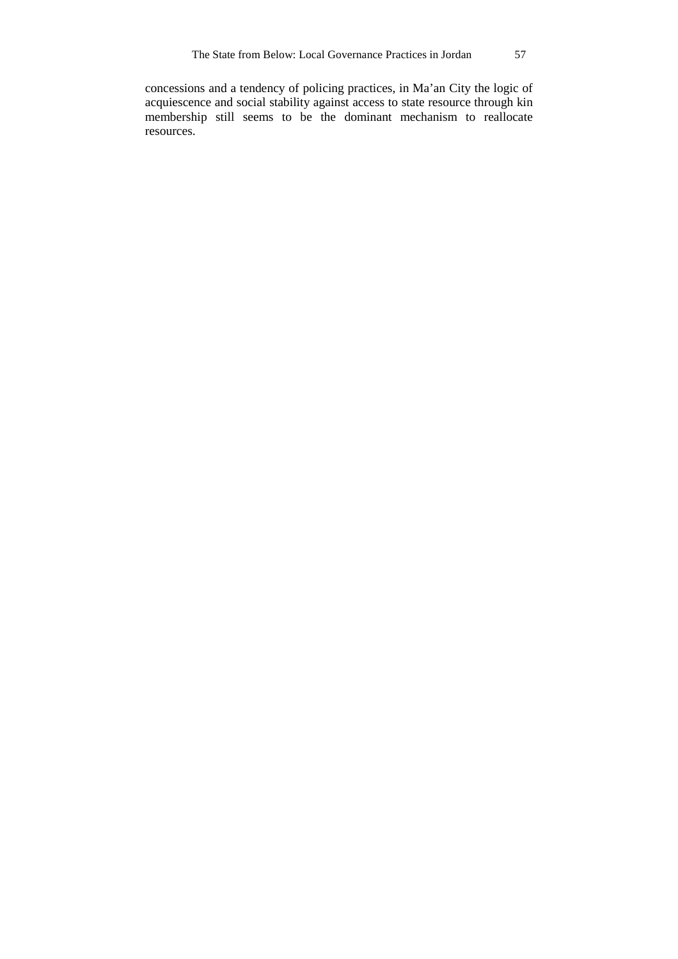concessions and a tendency of policing practices, in Ma'an City the logic of acquiescence and social stability against access to state resource through kin membership still seems to be the dominant mechanism to reallocate resources.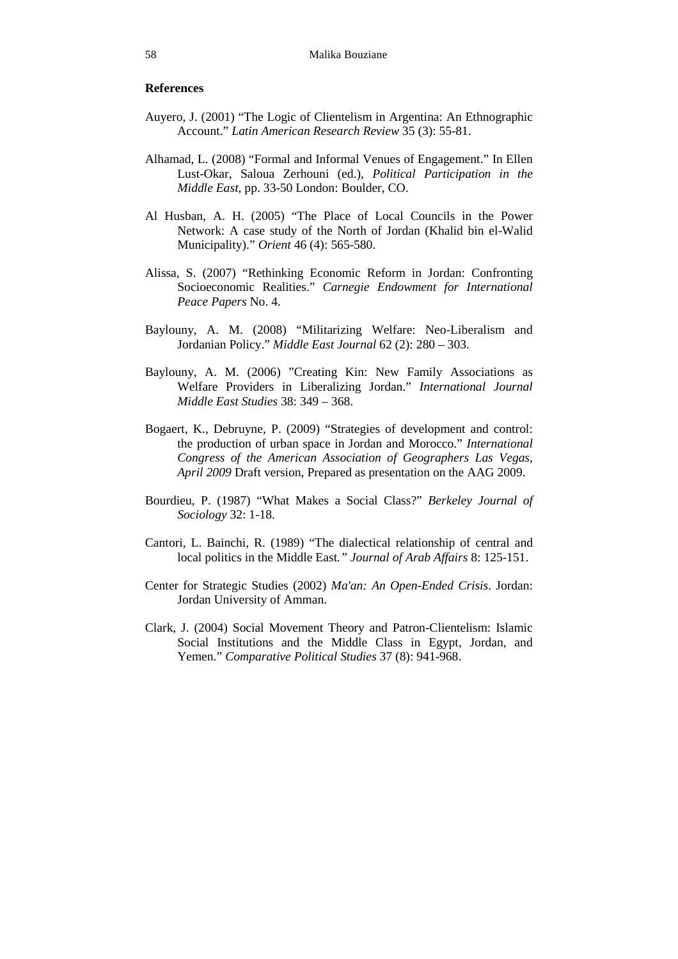### **References**

- Auyero, J. (2001) "The Logic of Clientelism in Argentina: An Ethnographic Account." *Latin American Research Review* 35 (3): 55-81.
- Alhamad, L. (2008) "Formal and Informal Venues of Engagement." In Ellen Lust-Okar, Saloua Zerhouni (ed.), *Political Participation in the Middle East*, pp. 33-50 London: Boulder, CO.
- Al Husban, A. H. (2005) "The Place of Local Councils in the Power Network: A case study of the North of Jordan (Khalid bin el-Walid Municipality)." *Orient* 46 (4): 565-580.
- Alissa, S. (2007) "Rethinking Economic Reform in Jordan: Confronting Socioeconomic Realities." *Carnegie Endowment for International Peace Papers* No. 4.
- Baylouny, A. M. (2008) "Militarizing Welfare: Neo-Liberalism and Jordanian Policy." *Middle East Journal* 62 (2): 280 – 303.
- Baylouny, A. M. (2006) "Creating Kin: New Family Associations as Welfare Providers in Liberalizing Jordan." *International Journal Middle East Studies* 38: 349 – 368.
- Bogaert, K., Debruyne, P. (2009) "Strategies of development and control: the production of urban space in Jordan and Morocco." *International Congress of the American Association of Geographers Las Vegas, April 2009* Draft version, Prepared as presentation on the AAG 2009.
- Bourdieu, P. (1987) "What Makes a Social Class?" *Berkeley Journal of Sociology* 32: 1-18.
- Cantori, L. Bainchi, R. (1989) "The dialectical relationship of central and local politics in the Middle East*." Journal of Arab Affairs* 8: 125-151.
- Center for Strategic Studies (2002) *Ma'an: An Open-Ended Crisis*. Jordan: Jordan University of Amman.
- Clark, J. (2004) Social Movement Theory and Patron-Clientelism: Islamic Social Institutions and the Middle Class in Egypt, Jordan, and Yemen." *Comparative Political Studies* 37 (8): 941-968.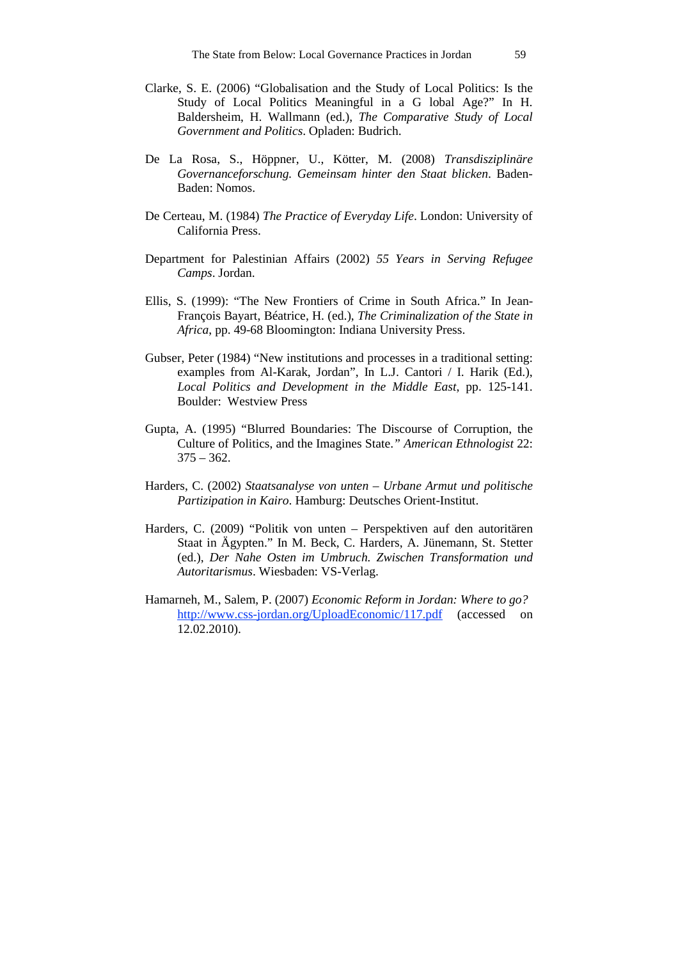- Clarke, S. E. (2006) "Globalisation and the Study of Local Politics: Is the Study of Local Politics Meaningful in a G lobal Age?" In H. Baldersheim, H. Wallmann (ed.), *The Comparative Study of Local Government and Politics*. Opladen: Budrich.
- De La Rosa, S., Höppner, U., Kötter, M. (2008) *Transdisziplinäre Governanceforschung. Gemeinsam hinter den Staat blicken*. Baden-Baden: Nomos.
- De Certeau, M. (1984) *The Practice of Everyday Life*. London: University of California Press.
- Department for Palestinian Affairs (2002) *55 Years in Serving Refugee Camps*. Jordan.
- Ellis, S. (1999): "The New Frontiers of Crime in South Africa." In Jean-François Bayart, Béatrice, H. (ed.), *The Criminalization of the State in Africa*, pp. 49-68 Bloomington: Indiana University Press.
- Gubser, Peter (1984) "New institutions and processes in a traditional setting: examples from Al-Karak, Jordan", In L.J. Cantori / I. Harik (Ed.), *Local Politics and Development in the Middle East*, pp. 125-141. Boulder: Westview Press
- Gupta, A. (1995) "Blurred Boundaries: The Discourse of Corruption, the Culture of Politics, and the Imagines State.*" American Ethnologist* 22:  $375 - 362.$
- Harders, C. (2002) *Staatsanalyse von unten Urbane Armut und politische Partizipation in Kairo*. Hamburg: Deutsches Orient-Institut.
- Harders, C. (2009) "Politik von unten Perspektiven auf den autoritären Staat in Ägypten." In M. Beck, C. Harders, A. Jünemann, St. Stetter (ed.), *Der Nahe Osten im Umbruch. Zwischen Transformation und Autoritarismus*. Wiesbaden: VS-Verlag.
- Hamarneh, M., Salem, P. (2007) *Economic Reform in Jordan: Where to go?* http://www.css-jordan.org/UploadEconomic/117.pdf (accessed on 12.02.2010).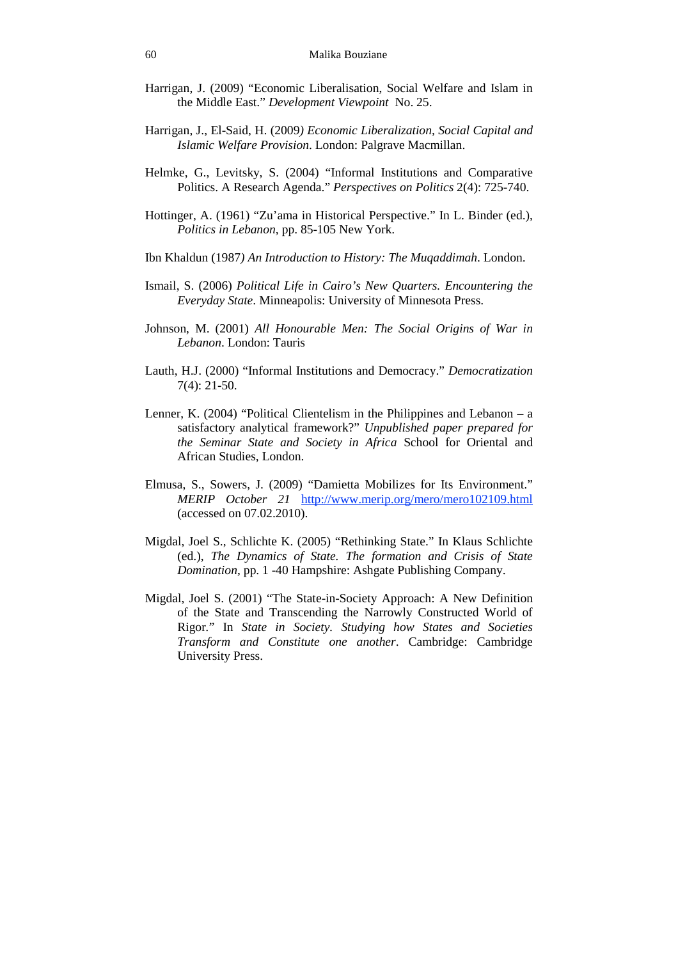- Harrigan, J. (2009) "Economic Liberalisation, Social Welfare and Islam in the Middle East." *Development Viewpoint* No. 25.
- Harrigan, J., El-Said, H. (2009*) Economic Liberalization, Social Capital and Islamic Welfare Provision*. London: Palgrave Macmillan.
- Helmke, G., Levitsky, S. (2004) "Informal Institutions and Comparative Politics. A Research Agenda." *Perspectives on Politics* 2(4): 725-740.
- Hottinger, A. (1961) "Zu'ama in Historical Perspective." In L. Binder (ed.), *Politics in Lebanon*, pp. 85-105 New York.
- Ibn Khaldun (1987*) An Introduction to History: The Muqaddimah*. London.
- Ismail, S. (2006) *Political Life in Cairo's New Quarters. Encountering the Everyday State*. Minneapolis: University of Minnesota Press.
- Johnson, M. (2001) *All Honourable Men: The Social Origins of War in Lebanon*. London: Tauris
- Lauth, H.J. (2000) "Informal Institutions and Democracy." *Democratization*  7(4): 21-50.
- Lenner, K. (2004) "Political Clientelism in the Philippines and Lebanon a satisfactory analytical framework?" *Unpublished paper prepared for the Seminar State and Society in Africa* School for Oriental and African Studies, London.
- Elmusa, S., Sowers, J. (2009) "Damietta Mobilizes for Its Environment." *MERIP October 21* http://www.merip.org/mero/mero102109.html (accessed on 07.02.2010).
- Migdal, Joel S., Schlichte K. (2005) "Rethinking State." In Klaus Schlichte (ed.), *The Dynamics of State. The formation and Crisis of State Domination*, pp. 1 -40 Hampshire: Ashgate Publishing Company.
- Migdal, Joel S. (2001) "The State-in-Society Approach: A New Definition of the State and Transcending the Narrowly Constructed World of Rigor*.*" In *State in Society. Studying how States and Societies Transform and Constitute one another*. Cambridge: Cambridge University Press.